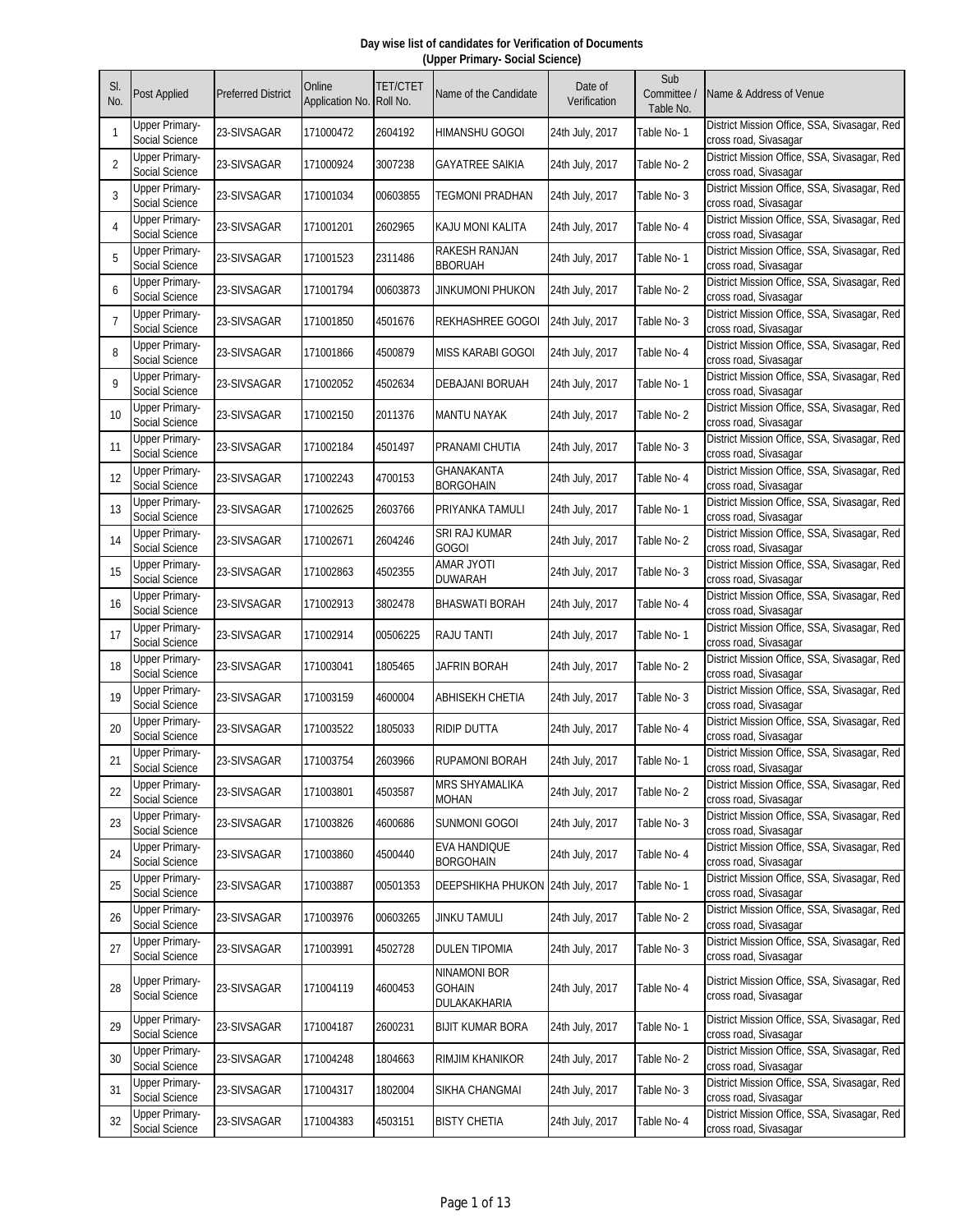| SI.<br>No.     | Post Applied                            | <b>Preferred District</b> | Online<br>Application No. Roll No. | TET/CTET | Name of the Candidate                                | Date of<br>Verification | Sub<br>Committee /<br>Table No. | Name & Address of Venue                                               |
|----------------|-----------------------------------------|---------------------------|------------------------------------|----------|------------------------------------------------------|-------------------------|---------------------------------|-----------------------------------------------------------------------|
| -1             | Upper Primary-<br>Social Science        | 23-SIVSAGAR               | 171000472                          | 2604192  | <b>HIMANSHU GOGOI</b>                                | 24th July, 2017         | Table No- 1                     | District Mission Office, SSA, Sivasagar, Red<br>cross road, Sivasagar |
| $\overline{2}$ | <b>Upper Primary-</b><br>Social Science | 23-SIVSAGAR               | 171000924                          | 3007238  | <b>GAYATREE SAIKIA</b>                               | 24th July, 2017         | Table No-2                      | District Mission Office, SSA, Sivasagar, Red<br>cross road, Sivasagar |
| 3              | Upper Primary-<br>Social Science        | 23-SIVSAGAR               | 171001034                          | 00603855 | <b>TEGMONI PRADHAN</b>                               | 24th July, 2017         | Table No-3                      | District Mission Office, SSA, Sivasagar, Red<br>cross road, Sivasagar |
| $\overline{4}$ | <b>Upper Primary-</b><br>Social Science | 23-SIVSAGAR               | 171001201                          | 2602965  | KAJU MONI KALITA                                     | 24th July, 2017         | Table No-4                      | District Mission Office, SSA, Sivasagar, Red<br>cross road, Sivasagar |
| 5              | <b>Upper Primary-</b><br>Social Science | 23-SIVSAGAR               | 171001523                          | 2311486  | <b>RAKESH RANJAN</b><br><b>BBORUAH</b>               | 24th July, 2017         | Table No- 1                     | District Mission Office, SSA, Sivasagar, Red<br>cross road, Sivasagar |
| 6              | <b>Upper Primary-</b><br>Social Science | 23-SIVSAGAR               | 171001794                          | 00603873 | <b>JINKUMONI PHUKON</b>                              | 24th July, 2017         | Table No-2                      | District Mission Office, SSA, Sivasagar, Red<br>cross road, Sivasagar |
| $\overline{7}$ | Upper Primary-<br>Social Science        | 23-SIVSAGAR               | 171001850                          | 4501676  | REKHASHREE GOGOI                                     | 24th July, 2017         | Table No- 3                     | District Mission Office, SSA, Sivasagar, Red<br>cross road, Sivasagar |
| 8              | <b>Upper Primary-</b><br>Social Science | 23-SIVSAGAR               | 171001866                          | 4500879  | <b>MISS KARABI GOGOI</b>                             | 24th July, 2017         | Table No- 4                     | District Mission Office, SSA, Sivasagar, Red<br>cross road, Sivasagar |
| $\mathsf{Q}$   | <b>Upper Primary-</b><br>Social Science | 23-SIVSAGAR               | 171002052                          | 4502634  | <b>DEBAJANI BORUAH</b>                               | 24th July, 2017         | Table No-1                      | District Mission Office, SSA, Sivasagar, Red<br>cross road, Sivasagar |
| 10             | <b>Upper Primary-</b><br>Social Science | 23-SIVSAGAR               | 171002150                          | 2011376  | <b>MANTU NAYAK</b>                                   | 24th July, 2017         | Table No-2                      | District Mission Office, SSA, Sivasagar, Red<br>cross road, Sivasagar |
| 11             | Upper Primary-<br>Social Science        | 23-SIVSAGAR               | 171002184                          | 4501497  | PRANAMI CHUTIA                                       | 24th July, 2017         | Table No-3                      | District Mission Office, SSA, Sivasagar, Red<br>cross road, Sivasagar |
| 12             | <b>Upper Primary-</b><br>Social Science | 23-SIVSAGAR               | 171002243                          | 4700153  | GHANAKANTA<br><b>BORGOHAIN</b>                       | 24th July, 2017         | Table No- 4                     | District Mission Office, SSA, Sivasagar, Red<br>cross road, Sivasagar |
| 13             | <b>Upper Primary-</b><br>Social Science | 23-SIVSAGAR               | 171002625                          | 2603766  | PRIYANKA TAMULI                                      | 24th July, 2017         | Table No-1                      | District Mission Office, SSA, Sivasagar, Red<br>cross road, Sivasagar |
| 14             | <b>Upper Primary-</b><br>Social Science | 23-SIVSAGAR               | 171002671                          | 2604246  | SRI RAJ KUMAR<br><b>GOGOI</b>                        | 24th July, 2017         | Table No-2                      | District Mission Office, SSA, Sivasagar, Red<br>cross road, Sivasagar |
| 15             | <b>Upper Primary-</b><br>Social Science | 23-SIVSAGAR               | 171002863                          | 4502355  | <b>ITOYL SAMA</b><br><b>DUWARAH</b>                  | 24th July, 2017         | Table No-3                      | District Mission Office, SSA, Sivasagar, Red<br>cross road, Sivasagar |
| 16             | <b>Upper Primary-</b><br>Social Science | 23-SIVSAGAR               | 171002913                          | 3802478  | <b>BHASWATI BORAH</b>                                | 24th July, 2017         | Table No- 4                     | District Mission Office, SSA, Sivasagar, Red<br>cross road, Sivasagar |
| 17             | <b>Upper Primary-</b><br>Social Science | 23-SIVSAGAR               | 171002914                          | 00506225 | <b>RAJU TANTI</b>                                    | 24th July, 2017         | Table No-1                      | District Mission Office, SSA, Sivasagar, Red<br>cross road, Sivasagar |
| 18             | Upper Primary-<br>Social Science        | 23-SIVSAGAR               | 171003041                          | 1805465  | JAFRIN BORAH                                         | 24th July, 2017         | Table No- 2                     | District Mission Office, SSA, Sivasagar, Red<br>cross road, Sivasagar |
| 19             | <b>Upper Primary-</b><br>Social Science | 23-SIVSAGAR               | 171003159                          | 4600004  | <b>ABHISEKH CHETIA</b>                               | 24th July, 2017         | Table No-3                      | District Mission Office, SSA, Sivasagar, Red<br>cross road, Sivasagar |
| 20             | <b>Upper Primary-</b><br>Social Science | 23-SIVSAGAR               | 171003522                          | 1805033  | <b>RIDIP DUTTA</b>                                   | 24th July, 2017         | Table No- 4                     | District Mission Office, SSA, Sivasagar, Red<br>cross road, Sivasagar |
| 21             | Upper Primary-<br>Social Science        | 23-SIVSAGAR               | 171003754                          | 2603966  | <b>RUPAMONI BORAH</b>                                | 24th July, 2017         | Table No-1                      | District Mission Office, SSA, Sivasagar, Red<br>cross road, Sivasagar |
| 22             | <b>Upper Primary-</b><br>Social Science | 23-SIVSAGAR               | 171003801                          | 4503587  | <b>MRS SHYAMALIKA</b><br><b>MOHAN</b>                | 24th July, 2017         | Table No-2                      | District Mission Office, SSA, Sivasagar, Red<br>cross road, Sivasagar |
| 23             | <b>Upper Primary-</b><br>Social Science | 23-SIVSAGAR               | 171003826                          | 4600686  | <b>SUNMONI GOGOI</b>                                 | 24th July, 2017         | Table No-3                      | District Mission Office, SSA, Sivasagar, Red<br>cross road, Sivasagar |
| 24             | <b>Upper Primary-</b><br>Social Science | 23-SIVSAGAR               | 171003860                          | 4500440  | <b>EVA HANDIQUE</b><br><b>BORGOHAIN</b>              | 24th July, 2017         | Table No-4                      | District Mission Office, SSA, Sivasagar, Red<br>cross road, Sivasagar |
| 25             | <b>Upper Primary-</b><br>Social Science | 23-SIVSAGAR               | 171003887                          | 00501353 | DEEPSHIKHA PHUKON                                    | 24th July, 2017         | Table No-1                      | District Mission Office, SSA, Sivasagar, Red<br>cross road, Sivasagar |
| 26             | <b>Upper Primary-</b><br>Social Science | 23-SIVSAGAR               | 171003976                          | 00603265 | <b>JINKU TAMULI</b>                                  | 24th July, 2017         | Table No-2                      | District Mission Office, SSA, Sivasagar, Red<br>cross road, Sivasagar |
| 27             | <b>Upper Primary-</b><br>Social Science | 23-SIVSAGAR               | 171003991                          | 4502728  | <b>DULEN TIPOMIA</b>                                 | 24th July, 2017         | Table No-3                      | District Mission Office, SSA, Sivasagar, Red<br>cross road, Sivasagar |
| 28             | <b>Upper Primary-</b><br>Social Science | 23-SIVSAGAR               | 171004119                          | 4600453  | <b>NINAMONI BOR</b><br><b>GOHAIN</b><br>DULAKAKHARIA | 24th July, 2017         | Table No- 4                     | District Mission Office, SSA, Sivasagar, Red<br>cross road, Sivasagar |
| 29             | Upper Primary-<br>Social Science        | 23-SIVSAGAR               | 171004187                          | 2600231  | <b>BIJIT KUMAR BORA</b>                              | 24th July, 2017         | Table No-1                      | District Mission Office, SSA, Sivasagar, Red<br>cross road, Sivasagar |
| 30             | <b>Upper Primary-</b><br>Social Science | 23-SIVSAGAR               | 171004248                          | 1804663  | RIMJIM KHANIKOR                                      | 24th July, 2017         | Table No-2                      | District Mission Office, SSA, Sivasagar, Red<br>cross road, Sivasagar |
| 31             | <b>Upper Primary-</b><br>Social Science | 23-SIVSAGAR               | 171004317                          | 1802004  | SIKHA CHANGMAI                                       | 24th July, 2017         | Table No-3                      | District Mission Office, SSA, Sivasagar, Red<br>cross road, Sivasagar |
| 32             | <b>Upper Primary-</b><br>Social Science | 23-SIVSAGAR               | 171004383                          | 4503151  | <b>BISTY CHETIA</b>                                  | 24th July, 2017         | Table No-4                      | District Mission Office, SSA, Sivasagar, Red<br>cross road, Sivasagar |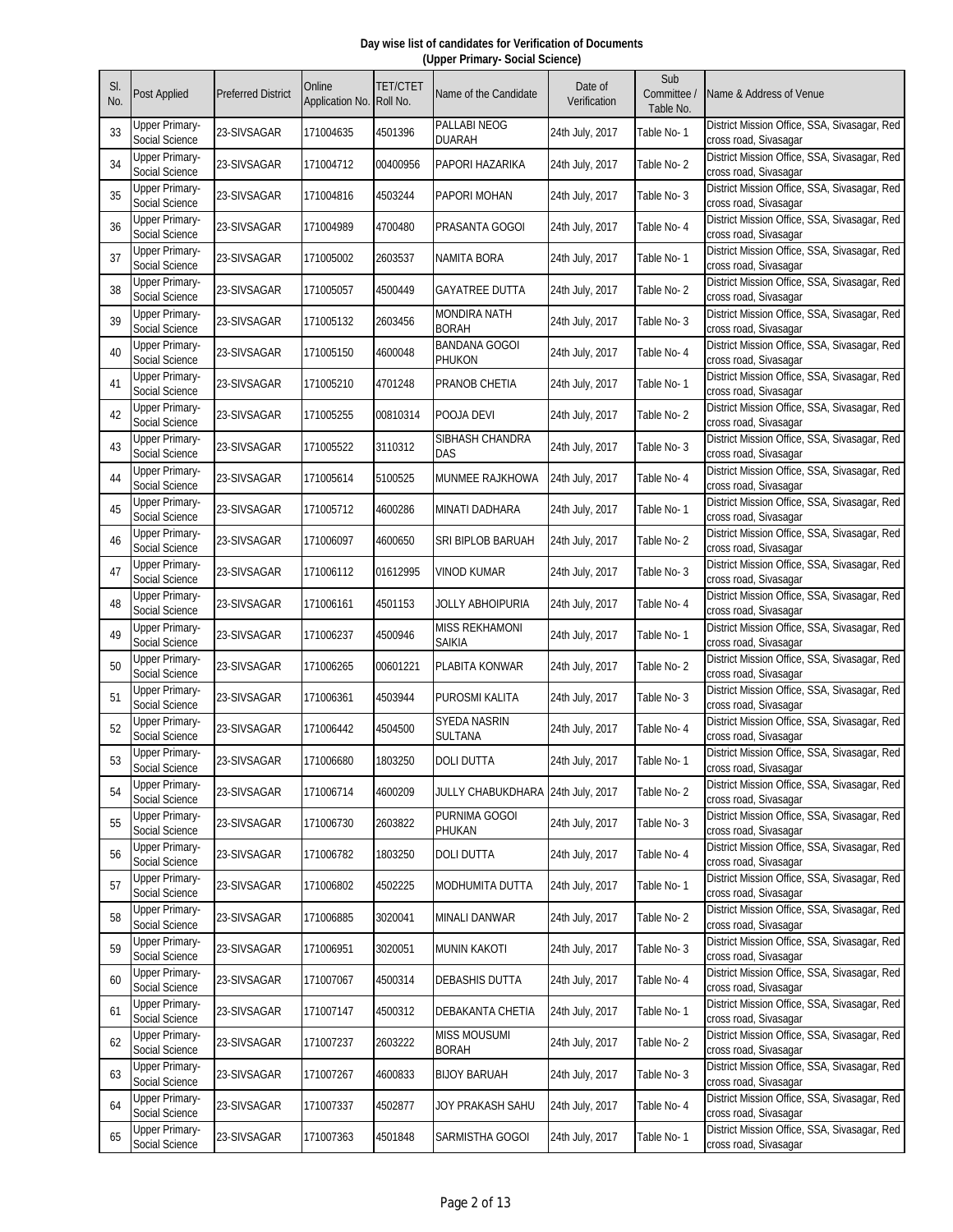| SI.<br>No. | <b>Post Applied</b>                     | <b>Preferred District</b> | Online<br>Application No. | <b>TET/CTET</b><br>Roll No. | Name of the Candidate               | Date of<br>Verification | Sub<br>Committee /<br>Table No. | Name & Address of Venue                                               |
|------------|-----------------------------------------|---------------------------|---------------------------|-----------------------------|-------------------------------------|-------------------------|---------------------------------|-----------------------------------------------------------------------|
| 33         | <b>Jpper Primary-</b><br>Social Science | 23-SIVSAGAR               | 171004635                 | 4501396                     | PALLABI NEOG<br><b>DUARAH</b>       | 24th July, 2017         | Table No- 1                     | District Mission Office, SSA, Sivasagar, Red<br>cross road, Sivasagar |
| 34         | Upper Primary-<br>Social Science        | 23-SIVSAGAR               | 171004712                 | 00400956                    | PAPORI HAZARIKA                     | 24th July, 2017         | Table No-2                      | District Mission Office, SSA, Sivasagar, Red<br>cross road, Sivasagar |
| 35         | <b>Upper Primary-</b><br>Social Science | 23-SIVSAGAR               | 171004816                 | 4503244                     | PAPORI MOHAN                        | 24th July, 2017         | Table No-3                      | District Mission Office, SSA, Sivasagar, Red<br>cross road, Sivasagar |
| 36         | <b>Upper Primary-</b><br>Social Science | 23-SIVSAGAR               | 171004989                 | 4700480                     | PRASANTA GOGOI                      | 24th July, 2017         | Table No- 4                     | District Mission Office, SSA, Sivasagar, Red<br>cross road, Sivasagar |
| 37         | <b>Upper Primary-</b><br>Social Science | 23-SIVSAGAR               | 171005002                 | 2603537                     | NAMITA BORA                         | 24th July, 2017         | Table No-1                      | District Mission Office, SSA, Sivasagar, Red<br>cross road, Sivasagar |
| 38         | <b>Upper Primary-</b><br>Social Science | 23-SIVSAGAR               | 171005057                 | 4500449                     | <b>GAYATREE DUTTA</b>               | 24th July, 2017         | Table No-2                      | District Mission Office, SSA, Sivasagar, Red<br>cross road, Sivasagar |
| 39         | <b>Upper Primary-</b><br>Social Science | 23-SIVSAGAR               | 171005132                 | 2603456                     | MONDIRA NATH<br><b>BORAH</b>        | 24th July, 2017         | Table No-3                      | District Mission Office, SSA, Sivasagar, Red<br>cross road, Sivasagar |
| 40         | <b>Upper Primary-</b><br>Social Science | 23-SIVSAGAR               | 171005150                 | 4600048                     | <b>BANDANA GOGOI</b><br>PHUKON      | 24th July, 2017         | Table No- 4                     | District Mission Office, SSA, Sivasagar, Red<br>cross road, Sivasagar |
| 41         | <b>Upper Primary-</b><br>Social Science | 23-SIVSAGAR               | 171005210                 | 4701248                     | PRANOB CHETIA                       | 24th July, 2017         | Table No-1                      | District Mission Office, SSA, Sivasagar, Red<br>cross road, Sivasagar |
| 42         | <b>Upper Primary-</b><br>Social Science | 23-SIVSAGAR               | 171005255                 | 00810314                    | POOJA DEVI                          | 24th July, 2017         | Table No-2                      | District Mission Office, SSA, Sivasagar, Red<br>cross road, Sivasagar |
| 43         | <b>Upper Primary-</b><br>Social Science | 23-SIVSAGAR               | 171005522                 | 3110312                     | SIBHASH CHANDRA<br>DAS              | 24th July, 2017         | Table No-3                      | District Mission Office, SSA, Sivasagar, Red<br>cross road, Sivasagar |
| 44         | Upper Primary-<br>Social Science        | 23-SIVSAGAR               | 171005614                 | 5100525                     | MUNMEE RAJKHOWA                     | 24th July, 2017         | Table No-4                      | District Mission Office, SSA, Sivasagar, Red<br>cross road, Sivasagar |
| 45         | <b>Upper Primary-</b><br>Social Science | 23-SIVSAGAR               | 171005712                 | 4600286                     | MINATI DADHARA                      | 24th July, 2017         | Table No-1                      | District Mission Office, SSA, Sivasagar, Red<br>cross road, Sivasagar |
| 46         | Upper Primary-<br>Social Science        | 23-SIVSAGAR               | 171006097                 | 4600650                     | SRI BIPLOB BARUAH                   | 24th July, 2017         | Table No-2                      | District Mission Office, SSA, Sivasagar, Red<br>cross road, Sivasagar |
| 47         | <b>Upper Primary-</b><br>Social Science | 23-SIVSAGAR               | 171006112                 | 01612995                    | <b>VINOD KUMAR</b>                  | 24th July, 2017         | Table No-3                      | District Mission Office, SSA, Sivasagar, Red<br>cross road, Sivasagar |
| 48         | <b>Upper Primary-</b><br>Social Science | 23-SIVSAGAR               | 171006161                 | 4501153                     | JOLLY ABHOIPURIA                    | 24th July, 2017         | Table No- 4                     | District Mission Office, SSA, Sivasagar, Red<br>cross road, Sivasagar |
| 49         | Upper Primary-<br>Social Science        | 23-SIVSAGAR               | 171006237                 | 4500946                     | MISS REKHAMONI<br><b>SAIKIA</b>     | 24th July, 2017         | Table No-1                      | District Mission Office, SSA, Sivasagar, Red<br>cross road, Sivasagar |
| 50         | <b>Upper Primary-</b><br>Social Science | 23-SIVSAGAR               | 171006265                 | 00601221                    | PLABITA KONWAR                      | 24th July, 2017         | Table No-2                      | District Mission Office, SSA, Sivasagar, Red<br>cross road, Sivasagar |
| 51         | Upper Primary-<br>Social Science        | 23-SIVSAGAR               | 171006361                 | 4503944                     | PUROSMI KALITA                      | 24th July, 2017         | Table No-3                      | District Mission Office, SSA, Sivasagar, Red<br>cross road, Sivasagar |
| 52         | <b>Upper Primary-</b><br>Social Science | 23-SIVSAGAR               | 171006442                 | 4504500                     | <b>SYEDA NASRIN</b><br>SULTANA      | 24th July, 2017         | Table No-4                      | District Mission Office, SSA, Sivasagar, Red<br>cross road, Sivasagar |
| 53         | <b>Upper Primary-</b><br>Social Science | 23-SIVSAGAR               | 171006680                 | 1803250                     | <b>DOLI DUTTA</b>                   | 24th July, 2017         | Table No-1                      | District Mission Office, SSA, Sivasagar, Red<br>cross road, Sivasagar |
| 54         | <b>Upper Primary-</b><br>Social Science | 23-SIVSAGAR               | 171006714                 | 4600209                     | JULLY CHABUKDHARA 24th July, 2017   |                         | Table No-2                      | District Mission Office, SSA, Sivasagar, Red<br>cross road, Sivasagar |
| 55         | <b>Upper Primary-</b><br>Social Science | 23-SIVSAGAR               | 171006730                 | 2603822                     | PURNIMA GOGOI<br>PHUKAN             | 24th July, 2017         | Table No-3                      | District Mission Office, SSA, Sivasagar, Red<br>cross road, Sivasagar |
| 56         | <b>Upper Primary-</b><br>Social Science | 23-SIVSAGAR               | 171006782                 | 1803250                     | <b>DOLI DUTTA</b>                   | 24th July, 2017         | Table No- 4                     | District Mission Office, SSA, Sivasagar, Red<br>cross road, Sivasagar |
| 57         | <b>Upper Primary-</b><br>Social Science | 23-SIVSAGAR               | 171006802                 | 4502225                     | MODHUMITA DUTTA                     | 24th July, 2017         | Table No-1                      | District Mission Office, SSA, Sivasagar, Red<br>cross road, Sivasagar |
| 58         | <b>Upper Primary-</b><br>Social Science | 23-SIVSAGAR               | 171006885                 | 3020041                     | MINALI DANWAR                       | 24th July, 2017         | Table No-2                      | District Mission Office, SSA, Sivasagar, Red<br>cross road, Sivasagar |
| 59         | <b>Upper Primary-</b><br>Social Science | 23-SIVSAGAR               | 171006951                 | 3020051                     | MUNIN KAKOTI                        | 24th July, 2017         | Table No-3                      | District Mission Office, SSA, Sivasagar, Red<br>cross road, Sivasagar |
| 60         | <b>Upper Primary-</b><br>Social Science | 23-SIVSAGAR               | 171007067                 | 4500314                     | <b>DEBASHIS DUTTA</b>               | 24th July, 2017         | Table No- 4                     | District Mission Office, SSA, Sivasagar, Red<br>cross road, Sivasagar |
| 61         | <b>Upper Primary-</b><br>Social Science | 23-SIVSAGAR               | 171007147                 | 4500312                     | DEBAKANTA CHETIA                    | 24th July, 2017         | Table No-1                      | District Mission Office, SSA, Sivasagar, Red<br>cross road, Sivasagar |
| 62         | <b>Upper Primary-</b><br>Social Science | 23-SIVSAGAR               | 171007237                 | 2603222                     | <b>MISS MOUSUMI</b><br><b>BORAH</b> | 24th July, 2017         | Table No-2                      | District Mission Office, SSA, Sivasagar, Red<br>cross road, Sivasagar |
| 63         | <b>Upper Primary-</b><br>Social Science | 23-SIVSAGAR               | 171007267                 | 4600833                     | <b>BIJOY BARUAH</b>                 | 24th July, 2017         | Table No-3                      | District Mission Office, SSA, Sivasagar, Red<br>cross road, Sivasagar |
| 64         | <b>Upper Primary-</b><br>Social Science | 23-SIVSAGAR               | 171007337                 | 4502877                     | JOY PRAKASH SAHU                    | 24th July, 2017         | Table No- 4                     | District Mission Office, SSA, Sivasagar, Red<br>cross road, Sivasagar |
| 65         | <b>Upper Primary-</b><br>Social Science | 23-SIVSAGAR               | 171007363                 | 4501848                     | SARMISTHA GOGOI                     | 24th July, 2017         | Table No-1                      | District Mission Office, SSA, Sivasagar, Red<br>cross road, Sivasagar |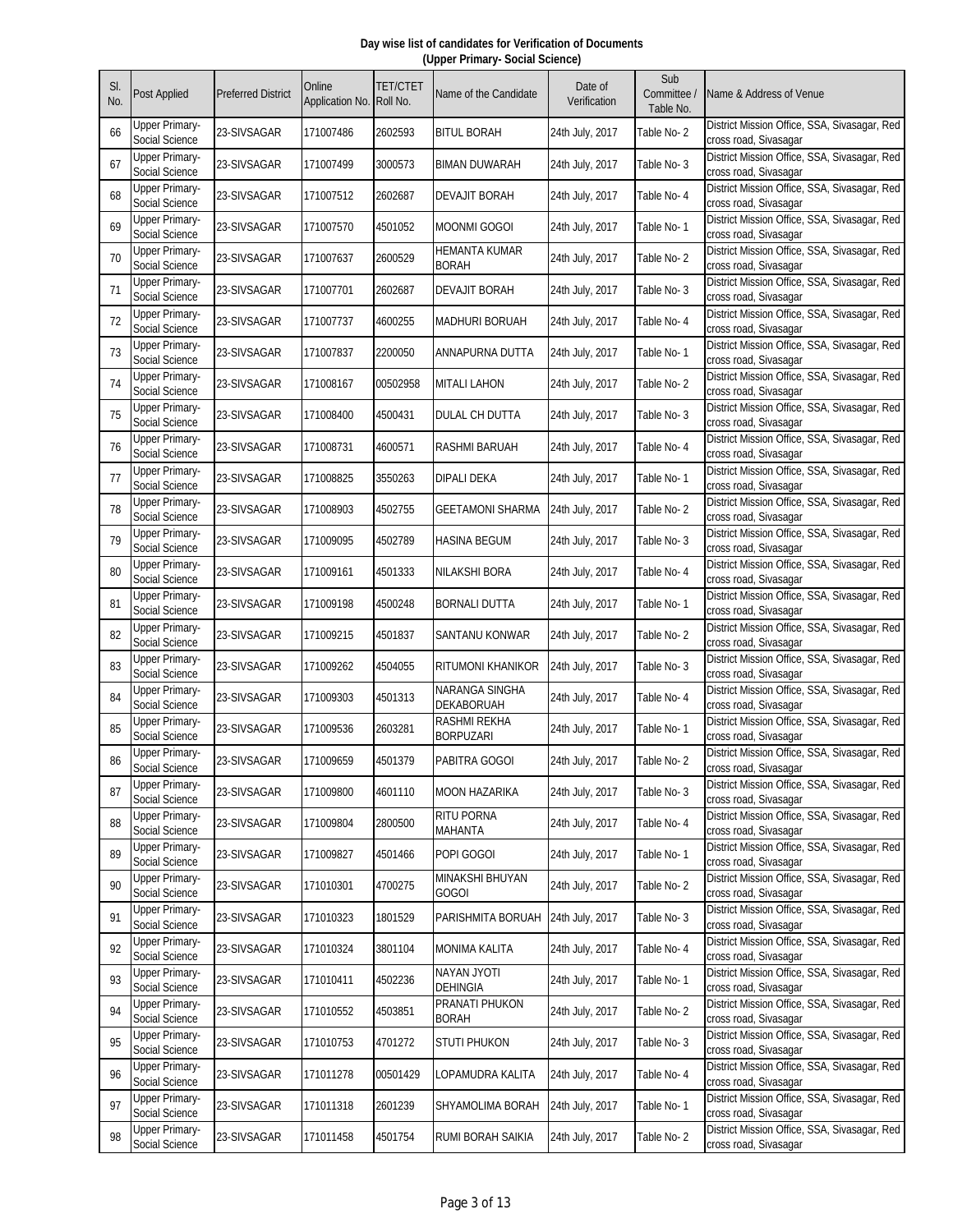| SI.<br>No. | <b>Post Applied</b>                     | <b>Preferred District</b> | Online<br>Application No. Roll No. | <b>TET/CTET</b> | Name of the Candidate                 | Date of<br>Verification | Sub<br>Committee /<br>Table No. | Name & Address of Venue                                               |
|------------|-----------------------------------------|---------------------------|------------------------------------|-----------------|---------------------------------------|-------------------------|---------------------------------|-----------------------------------------------------------------------|
| 66         | <b>Upper Primary-</b><br>Social Science | 23-SIVSAGAR               | 171007486                          | 2602593         | <b>BITUL BORAH</b>                    | 24th July, 2017         | Table No-2                      | District Mission Office, SSA, Sivasagar, Red<br>cross road, Sivasagar |
| 67         | <b>Upper Primary-</b><br>Social Science | 23-SIVSAGAR               | 171007499                          | 3000573         | <b>BIMAN DUWARAH</b>                  | 24th July, 2017         | Table No-3                      | District Mission Office, SSA, Sivasagar, Red<br>cross road, Sivasagar |
| 68         | <b>Upper Primary-</b><br>Social Science | 23-SIVSAGAR               | 171007512                          | 2602687         | DEVAJIT BORAH                         | 24th July, 2017         | Table No- 4                     | District Mission Office, SSA, Sivasagar, Red<br>cross road, Sivasagar |
| 69         | <b>Upper Primary-</b><br>Social Science | 23-SIVSAGAR               | 171007570                          | 4501052         | MOONMI GOGOI                          | 24th July, 2017         | Table No-1                      | District Mission Office, SSA, Sivasagar, Red<br>cross road, Sivasagar |
| 70         | <b>Upper Primary-</b><br>Social Science | 23-SIVSAGAR               | 171007637                          | 2600529         | <b>HEMANTA KUMAR</b><br><b>BORAH</b>  | 24th July, 2017         | Table No-2                      | District Mission Office, SSA, Sivasagar, Red<br>cross road, Sivasagar |
| 71         | <b>Upper Primary-</b><br>Social Science | 23-SIVSAGAR               | 171007701                          | 2602687         | DEVAJIT BORAH                         | 24th July, 2017         | Table No-3                      | District Mission Office, SSA, Sivasagar, Red<br>cross road, Sivasagar |
| 72         | <b>Upper Primary-</b><br>Social Science | 23-SIVSAGAR               | 171007737                          | 4600255         | MADHURI BORUAH                        | 24th July, 2017         | Table No- 4                     | District Mission Office, SSA, Sivasagar, Red<br>cross road, Sivasagar |
| 73         | Upper Primary-<br>Social Science        | 23-SIVSAGAR               | 171007837                          | 2200050         | ANNAPURNA DUTTA                       | 24th July, 2017         | Table No-1                      | District Mission Office, SSA, Sivasagar, Red<br>cross road, Sivasagar |
| 74         | Upper Primary-<br>Social Science        | 23-SIVSAGAR               | 171008167                          | 00502958        | <b>MITALI LAHON</b>                   | 24th July, 2017         | Table No-2                      | District Mission Office, SSA, Sivasagar, Red<br>cross road, Sivasagar |
| 75         | <b>Upper Primary-</b><br>Social Science | 23-SIVSAGAR               | 171008400                          | 4500431         | DULAL CH DUTTA                        | 24th July, 2017         | Table No-3                      | District Mission Office, SSA, Sivasagar, Red<br>cross road, Sivasagar |
| 76         | <b>Upper Primary-</b><br>Social Science | 23-SIVSAGAR               | 171008731                          | 4600571         | <b>RASHMI BARUAH</b>                  | 24th July, 2017         | Table No- 4                     | District Mission Office, SSA, Sivasagar, Red<br>cross road, Sivasagar |
| 77         | <b>Upper Primary-</b><br>Social Science | 23-SIVSAGAR               | 171008825                          | 3550263         | DIPALI DEKA                           | 24th July, 2017         | Table No-1                      | District Mission Office, SSA, Sivasagar, Red<br>cross road, Sivasagar |
| 78         | <b>Upper Primary-</b><br>Social Science | 23-SIVSAGAR               | 171008903                          | 4502755         | GEETAMONI SHARMA                      | 24th July, 2017         | Table No-2                      | District Mission Office, SSA, Sivasagar, Red<br>cross road, Sivasagar |
| 79         | Upper Primary-<br>Social Science        | 23-SIVSAGAR               | 171009095                          | 4502789         | HASINA BEGUM                          | 24th July, 2017         | Table No-3                      | District Mission Office, SSA, Sivasagar, Red<br>cross road, Sivasagar |
| 80         | <b>Upper Primary-</b><br>Social Science | 23-SIVSAGAR               | 171009161                          | 4501333         | NILAKSHI BORA                         | 24th July, 2017         | Table No- 4                     | District Mission Office, SSA, Sivasagar, Red<br>cross road, Sivasagar |
| 81         | <b>Upper Primary-</b><br>Social Science | 23-SIVSAGAR               | 171009198                          | 4500248         | BORNALI DUTTA                         | 24th July, 2017         | Table No-1                      | District Mission Office, SSA, Sivasagar, Red<br>cross road, Sivasagar |
| 82         | <b>Upper Primary-</b><br>Social Science | 23-SIVSAGAR               | 171009215                          | 4501837         | SANTANU KONWAR                        | 24th July, 2017         | Table No-2                      | District Mission Office, SSA, Sivasagar, Red<br>cross road, Sivasagar |
| 83         | <b>Upper Primary-</b><br>Social Science | 23-SIVSAGAR               | 171009262                          | 4504055         | RITUMONI KHANIKOR                     | 24th July, 2017         | Table No-3                      | District Mission Office, SSA, Sivasagar, Red<br>cross road, Sivasagar |
| 84         | <b>Upper Primary-</b><br>Social Science | 23-SIVSAGAR               | 171009303                          | 4501313         | NARANGA SINGHA<br><b>DEKABORUAH</b>   | 24th July, 2017         | Table No-4                      | District Mission Office, SSA, Sivasagar, Red<br>cross road, Sivasagar |
| 85         | <b>Upper Primary-</b><br>Social Science | 23-SIVSAGAR               | 171009536                          | 2603281         | RASHMI REKHA<br><b>BORPUZARI</b>      | 24th July, 2017         | Table No-1                      | District Mission Office, SSA, Sivasagar, Red<br>cross road, Sivasagar |
| 86         | <b>Upper Primary-</b><br>Social Science | 23-SIVSAGAR               | 171009659                          | 4501379         | PABITRA GOGOI                         | 24th July, 2017         | Table No-2                      | District Mission Office, SSA, Sivasagar, Red<br>cross road, Sivasagar |
| 87         | <b>Upper Primary-</b><br>Social Science | 23-SIVSAGAR               | 171009800                          | 4601110         | <b>MOON HAZARIKA</b>                  | 24th July, 2017         | Table No-3                      | District Mission Office, SSA, Sivasagar, Red<br>cross road, Sivasagar |
| 88         | Upper Primary-<br>Social Science        | 23-SIVSAGAR               | 171009804                          | 2800500         | <b>RITU PORNA</b><br>MAHANTA          | 24th July, 2017         | Table No- 4                     | District Mission Office, SSA, Sivasagar, Red<br>cross road, Sivasagar |
| 89         | <b>Upper Primary-</b><br>Social Science | 23-SIVSAGAR               | 171009827                          | 4501466         | POPI GOGOI                            | 24th July, 2017         | Table No-1                      | District Mission Office, SSA, Sivasagar, Red<br>cross road, Sivasagar |
| 90         | Upper Primary-<br>Social Science        | 23-SIVSAGAR               | 171010301                          | 4700275         | MINAKSHI BHUYAN<br><b>GOGOI</b>       | 24th July, 2017         | Table No-2                      | District Mission Office, SSA, Sivasagar, Red<br>cross road, Sivasagar |
| 91         | <b>Upper Primary-</b><br>Social Science | 23-SIVSAGAR               | 171010323                          | 1801529         | PARISHMITA BORUAH                     | 24th July, 2017         | Table No-3                      | District Mission Office, SSA, Sivasagar, Red<br>cross road, Sivasagar |
| 92         | <b>Upper Primary-</b><br>Social Science | 23-SIVSAGAR               | 171010324                          | 3801104         | <b>MONIMA KALITA</b>                  | 24th July, 2017         | Table No- 4                     | District Mission Office, SSA, Sivasagar, Red<br>cross road, Sivasagar |
| 93         | <b>Upper Primary-</b><br>Social Science | 23-SIVSAGAR               | 171010411                          | 4502236         | <b>ITOYL VAYAV</b><br><b>DEHINGIA</b> | 24th July, 2017         | Table No-1                      | District Mission Office, SSA, Sivasagar, Red<br>cross road, Sivasagar |
| 94         | <b>Upper Primary-</b><br>Social Science | 23-SIVSAGAR               | 171010552                          | 4503851         | PRANATI PHUKON<br><b>BORAH</b>        | 24th July, 2017         | Table No-2                      | District Mission Office, SSA, Sivasagar, Red<br>cross road, Sivasagar |
| 95         | <b>Upper Primary-</b><br>Social Science | 23-SIVSAGAR               | 171010753                          | 4701272         | <b>STUTI PHUKON</b>                   | 24th July, 2017         | Table No-3                      | District Mission Office, SSA, Sivasagar, Red<br>cross road, Sivasagar |
| 96         | <b>Upper Primary-</b><br>Social Science | 23-SIVSAGAR               | 171011278                          | 00501429        | LOPAMUDRA KALITA                      | 24th July, 2017         | Table No- 4                     | District Mission Office, SSA, Sivasagar, Red<br>cross road, Sivasagar |
| 97         | <b>Upper Primary-</b><br>Social Science | 23-SIVSAGAR               | 171011318                          | 2601239         | SHYAMOLIMA BORAH                      | 24th July, 2017         | Table No-1                      | District Mission Office, SSA, Sivasagar, Red<br>cross road, Sivasagar |
| 98         | <b>Upper Primary-</b><br>Social Science | 23-SIVSAGAR               | 171011458                          | 4501754         | RUMI BORAH SAIKIA                     | 24th July, 2017         | Table No-2                      | District Mission Office, SSA, Sivasagar, Red<br>cross road, Sivasagar |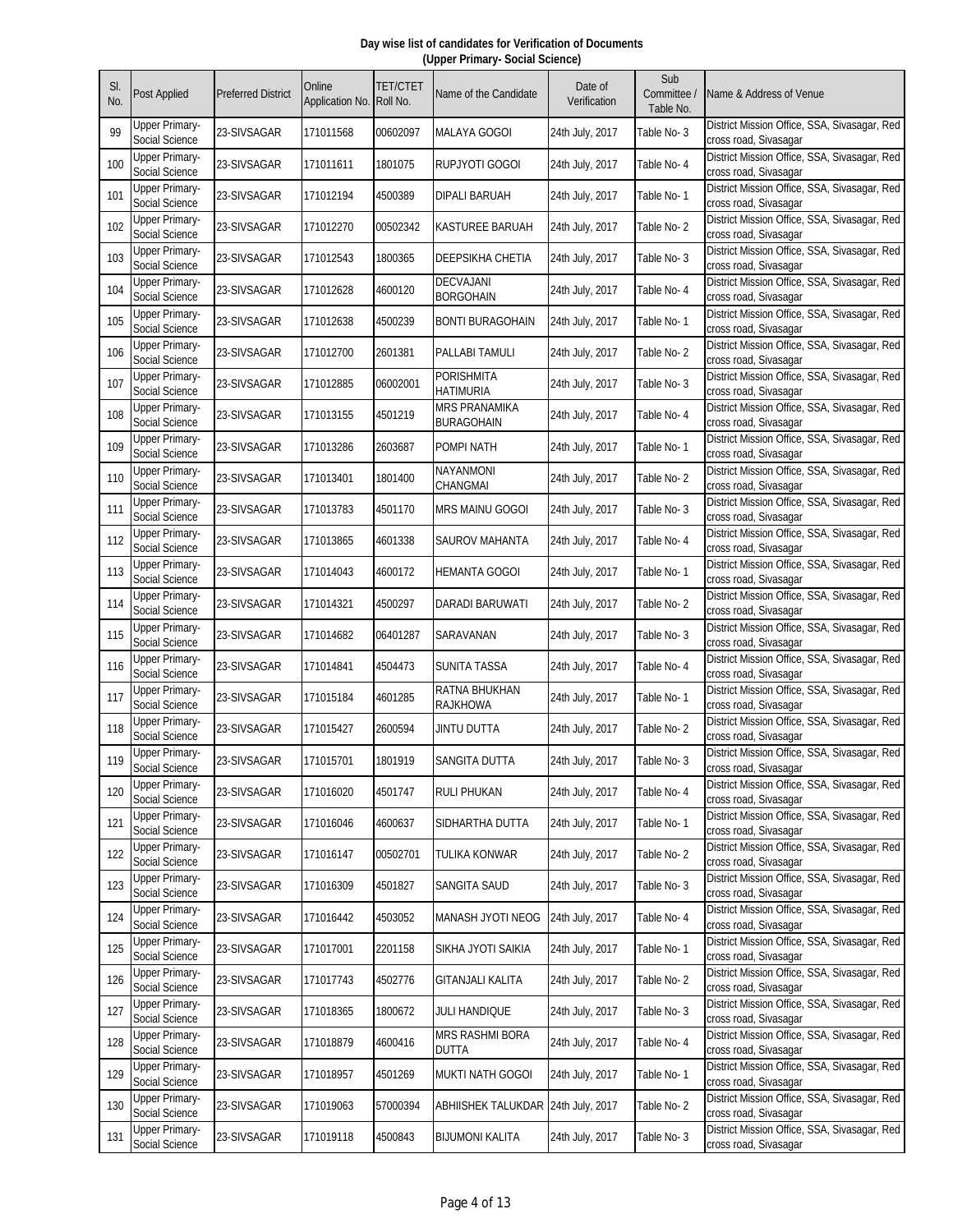| SI.<br>No. | <b>Post Applied</b>                     | <b>Preferred District</b> | Online<br>Application No. | <b>TET/CTET</b><br>Roll No. | Name of the Candidate                     | Date of<br>Verification | Sub<br>Committee /<br>Table No. | Name & Address of Venue                                               |
|------------|-----------------------------------------|---------------------------|---------------------------|-----------------------------|-------------------------------------------|-------------------------|---------------------------------|-----------------------------------------------------------------------|
| 99         | <b>Upper Primary-</b><br>Social Science | 23-SIVSAGAR               | 171011568                 | 00602097                    | <b>MALAYA GOGOI</b>                       | 24th July, 2017         | Table No-3                      | District Mission Office, SSA, Sivasagar, Red<br>cross road, Sivasagar |
| 100        | <b>Upper Primary-</b><br>Social Science | 23-SIVSAGAR               | 171011611                 | 1801075                     | RUPJYOTI GOGOI                            | 24th July, 2017         | Table No- 4                     | District Mission Office, SSA, Sivasagar, Red<br>cross road, Sivasagar |
| 101        | <b>Upper Primary-</b><br>Social Science | 23-SIVSAGAR               | 171012194                 | 4500389                     | DIPALI BARUAH                             | 24th July, 2017         | Table No-1                      | District Mission Office, SSA, Sivasagar, Red<br>cross road, Sivasagar |
| 102        | <b>Upper Primary-</b><br>Social Science | 23-SIVSAGAR               | 171012270                 | 00502342                    | <b>KASTUREE BARUAH</b>                    | 24th July, 2017         | Table No-2                      | District Mission Office, SSA, Sivasagar, Red<br>cross road, Sivasagar |
| 103        | <b>Upper Primary-</b><br>Social Science | 23-SIVSAGAR               | 171012543                 | 1800365                     | DEEPSIKHA CHETIA                          | 24th July, 2017         | Table No-3                      | District Mission Office, SSA, Sivasagar, Red<br>cross road, Sivasagar |
| 104        | <b>Upper Primary-</b><br>Social Science | 23-SIVSAGAR               | 171012628                 | 4600120                     | DECVAJANI<br><b>BORGOHAIN</b>             | 24th July, 2017         | Table No- 4                     | District Mission Office, SSA, Sivasagar, Red<br>cross road, Sivasagar |
| 105        | <b>Upper Primary-</b><br>Social Science | 23-SIVSAGAR               | 171012638                 | 4500239                     | <b>BONTI BURAGOHAIN</b>                   | 24th July, 2017         | Table No- 1                     | District Mission Office, SSA, Sivasagar, Red<br>cross road, Sivasagar |
| 106        | <b>Upper Primary-</b><br>Social Science | 23-SIVSAGAR               | 171012700                 | 2601381                     | PALLABI TAMULI                            | 24th July, 2017         | Table No-2                      | District Mission Office, SSA, Sivasagar, Red<br>cross road, Sivasagar |
| 107        | <b>Upper Primary-</b><br>Social Science | 23-SIVSAGAR               | 171012885                 | 06002001                    | PORISHMITA<br><b>HATIMURIA</b>            | 24th July, 2017         | Table No-3                      | District Mission Office, SSA, Sivasagar, Red<br>cross road, Sivasagar |
| 108        | <b>Upper Primary-</b><br>Social Science | 23-SIVSAGAR               | 171013155                 | 4501219                     | <b>MRS PRANAMIKA</b><br><b>BURAGOHAIN</b> | 24th July, 2017         | Table No-4                      | District Mission Office, SSA, Sivasagar, Red<br>cross road, Sivasagar |
| 109        | <b>Upper Primary-</b><br>Social Science | 23-SIVSAGAR               | 171013286                 | 2603687                     | POMPI NATH                                | 24th July, 2017         | Table No-1                      | District Mission Office, SSA, Sivasagar, Red<br>cross road, Sivasagar |
| 110        | Upper Primary-<br>Social Science        | 23-SIVSAGAR               | 171013401                 | 1801400                     | <b>NAYANMONI</b><br>CHANGMAI              | 24th July, 2017         | Table No-2                      | District Mission Office, SSA, Sivasagar, Red<br>cross road, Sivasagar |
| 111        | <b>Upper Primary-</b><br>Social Science | 23-SIVSAGAR               | 171013783                 | 4501170                     | MRS MAINU GOGOI                           | 24th July, 2017         | Table No-3                      | District Mission Office, SSA, Sivasagar, Red<br>cross road, Sivasagar |
| 112        | <b>Upper Primary-</b><br>Social Science | 23-SIVSAGAR               | 171013865                 | 4601338                     | SAUROV MAHANTA                            | 24th July, 2017         | Table No- 4                     | District Mission Office, SSA, Sivasagar, Red<br>cross road, Sivasagar |
| 113        | <b>Upper Primary-</b><br>Social Science | 23-SIVSAGAR               | 171014043                 | 4600172                     | HEMANTA GOGOI                             | 24th July, 2017         | Table No- 1                     | District Mission Office, SSA, Sivasagar, Red<br>cross road, Sivasagar |
| 114        | <b>Upper Primary-</b><br>Social Science | 23-SIVSAGAR               | 171014321                 | 4500297                     | <b>DARADI BARUWATI</b>                    | 24th July, 2017         | Table No-2                      | District Mission Office, SSA, Sivasagar, Red<br>cross road, Sivasagar |
| 115        | <b>Upper Primary-</b><br>Social Science | 23-SIVSAGAR               | 171014682                 | 06401287                    | SARAVANAN                                 | 24th July, 2017         | Table No-3                      | District Mission Office, SSA, Sivasagar, Red<br>cross road, Sivasagar |
| 116        | <b>Upper Primary-</b><br>Social Science | 23-SIVSAGAR               | 171014841                 | 4504473                     | SUNITA TASSA                              | 24th July, 2017         | Table No-4                      | District Mission Office, SSA, Sivasagar, Red<br>cross road, Sivasagar |
| 117        | <b>Upper Primary-</b><br>Social Science | 23-SIVSAGAR               | 171015184                 | 4601285                     | RATNA BHUKHAN<br><b>RAJKHOWA</b>          | 24th July, 2017         | Table No-1                      | District Mission Office, SSA, Sivasagar, Red<br>cross road, Sivasagar |
| 118        | <b>Upper Primary-</b><br>Social Science | 23-SIVSAGAR               | 171015427                 | 2600594                     | JINTU DUTTA                               | 24th July, 2017         | Table No-2                      | District Mission Office, SSA, Sivasagar, Red<br>cross road, Sivasagar |
| 119        | Upper Primary-<br>Social Science        | 23-SIVSAGAR               | 171015701                 | 1801919                     | SANGITA DUTTA                             | 24th July, 2017         | Table No-3                      | District Mission Office, SSA, Sivasagar, Red<br>cross road, Sivasagar |
| 120        | <b>Upper Primary-</b><br>Social Science | 23-SIVSAGAR               | 171016020                 | 4501747                     | <b>RULI PHUKAN</b>                        | 24th July, 2017         | Table No- 4                     | District Mission Office, SSA, Sivasagar, Red<br>cross road, Sivasagar |
| 121        | <b>Upper Primary-</b><br>Social Science | 23-SIVSAGAR               | 171016046                 | 4600637                     | SIDHARTHA DUTTA                           | 24th July, 2017         | Table No-1                      | District Mission Office, SSA, Sivasagar, Red<br>cross road, Sivasagar |
| 122        | <b>Upper Primary-</b><br>Social Science | 23-SIVSAGAR               | 171016147                 | 00502701                    | TULIKA KONWAR                             | 24th July, 2017         | Table No-2                      | District Mission Office, SSA, Sivasagar, Red<br>cross road, Sivasagar |
| 123        | <b>Upper Primary-</b><br>Social Science | 23-SIVSAGAR               | 171016309                 | 4501827                     | SANGITA SAUD                              | 24th July, 2017         | Table No-3                      | District Mission Office, SSA, Sivasagar, Red<br>cross road, Sivasagar |
| 124        | <b>Upper Primary-</b><br>Social Science | 23-SIVSAGAR               | 171016442                 | 4503052                     | MANASH JYOTI NEOG                         | 24th July, 2017         | Table No-4                      | District Mission Office, SSA, Sivasagar, Red<br>cross road, Sivasagar |
| 125        | <b>Upper Primary-</b><br>Social Science | 23-SIVSAGAR               | 171017001                 | 2201158                     | SIKHA JYOTI SAIKIA                        | 24th July, 2017         | Table No-1                      | District Mission Office, SSA, Sivasagar, Red<br>cross road, Sivasagar |
| 126        | <b>Upper Primary-</b><br>Social Science | 23-SIVSAGAR               | 171017743                 | 4502776                     | <b>GITANJALI KALITA</b>                   | 24th July, 2017         | Table No-2                      | District Mission Office, SSA, Sivasagar, Red<br>cross road, Sivasagar |
| 127        | <b>Upper Primary-</b><br>Social Science | 23-SIVSAGAR               | 171018365                 | 1800672                     | JULI HANDIQUE                             | 24th July, 2017         | Table No-3                      | District Mission Office, SSA, Sivasagar, Red<br>cross road, Sivasagar |
| 128        | <b>Upper Primary-</b><br>Social Science | 23-SIVSAGAR               | 171018879                 | 4600416                     | <b>MRS RASHMI BORA</b><br><b>DUTTA</b>    | 24th July, 2017         | Table No- 4                     | District Mission Office, SSA, Sivasagar, Red<br>cross road, Sivasagar |
| 129        | <b>Upper Primary-</b><br>Social Science | 23-SIVSAGAR               | 171018957                 | 4501269                     | <b>MUKTI NATH GOGOI</b>                   | 24th July, 2017         | Table No-1                      | District Mission Office, SSA, Sivasagar, Red<br>cross road, Sivasagar |
| 130        | <b>Upper Primary-</b><br>Social Science | 23-SIVSAGAR               | 171019063                 | 57000394                    | ABHIISHEK TALUKDAR 24th July, 2017        |                         | Table No-2                      | District Mission Office, SSA, Sivasagar, Red<br>cross road, Sivasagar |
| 131        | <b>Upper Primary-</b><br>Social Science | 23-SIVSAGAR               | 171019118                 | 4500843                     | <b>BIJUMONI KALITA</b>                    | 24th July, 2017         | Table No-3                      | District Mission Office, SSA, Sivasagar, Red<br>cross road, Sivasagar |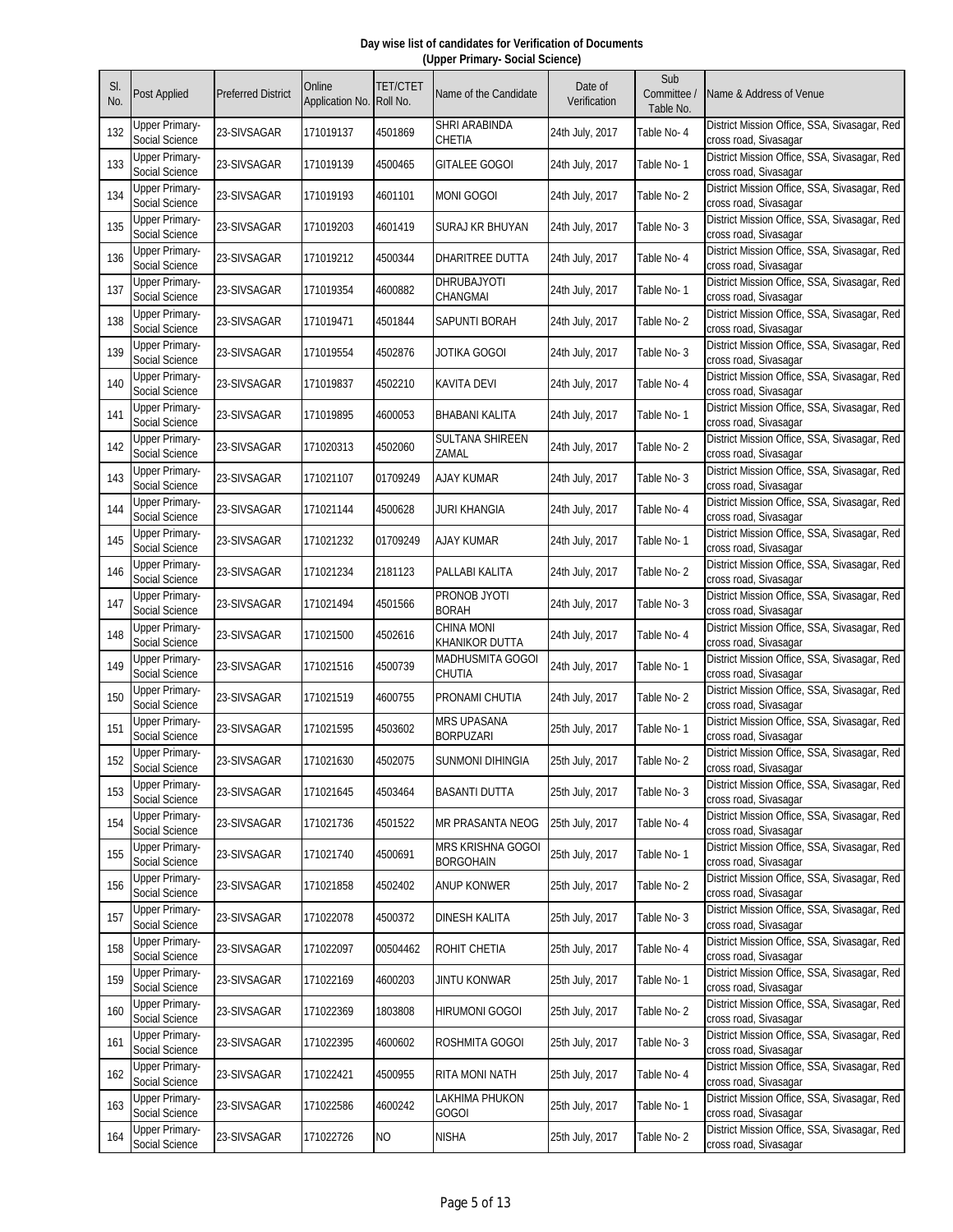| SI.<br>No. | Post Applied                            | <b>Preferred District</b> | Online<br>Application No. | <b>TET/CTET</b><br>Roll No. | Name of the Candidate                      | Date of<br>Verification | Sub<br>Committee /<br>Table No. | Name & Address of Venue                                               |
|------------|-----------------------------------------|---------------------------|---------------------------|-----------------------------|--------------------------------------------|-------------------------|---------------------------------|-----------------------------------------------------------------------|
| 132        | Upper Primary-<br>Social Science        | 23-SIVSAGAR               | 171019137                 | 4501869                     | SHRI ARABINDA<br>CHETIA                    | 24th July, 2017         | Table No- 4                     | District Mission Office, SSA, Sivasagar, Red<br>cross road, Sivasagar |
| 133        | <b>Upper Primary-</b><br>Social Science | 23-SIVSAGAR               | 171019139                 | 4500465                     | GITALEE GOGOI                              | 24th July, 2017         | Table No-1                      | District Mission Office, SSA, Sivasagar, Red<br>cross road, Sivasagar |
| 134        | <b>Upper Primary-</b><br>Social Science | 23-SIVSAGAR               | 171019193                 | 4601101                     | <b>MONI GOGOI</b>                          | 24th July, 2017         | Table No-2                      | District Mission Office, SSA, Sivasagar, Red<br>cross road, Sivasagar |
| 135        | <b>Upper Primary-</b><br>Social Science | 23-SIVSAGAR               | 171019203                 | 4601419                     | SURAJ KR BHUYAN                            | 24th July, 2017         | Table No-3                      | District Mission Office, SSA, Sivasagar, Red<br>cross road, Sivasagar |
| 136        | <b>Upper Primary-</b><br>Social Science | 23-SIVSAGAR               | 171019212                 | 4500344                     | DHARITREE DUTTA                            | 24th July, 2017         | Table No-4                      | District Mission Office, SSA, Sivasagar, Red<br>cross road, Sivasagar |
| 137        | <b>Upper Primary-</b><br>Social Science | 23-SIVSAGAR               | 171019354                 | 4600882                     | DHRUBAJYOTI<br>CHANGMAI                    | 24th July, 2017         | Table No-1                      | District Mission Office, SSA, Sivasagar, Red<br>cross road, Sivasagar |
| 138        | <b>Upper Primary-</b><br>Social Science | 23-SIVSAGAR               | 171019471                 | 4501844                     | SAPUNTI BORAH                              | 24th July, 2017         | Table No-2                      | District Mission Office, SSA, Sivasagar, Red<br>cross road, Sivasagar |
| 139        | <b>Upper Primary-</b><br>Social Science | 23-SIVSAGAR               | 171019554                 | 4502876                     | JOTIKA GOGOI                               | 24th July, 2017         | Table No-3                      | District Mission Office, SSA, Sivasagar, Red<br>cross road, Sivasagar |
| 140        | <b>Upper Primary-</b><br>Social Science | 23-SIVSAGAR               | 171019837                 | 4502210                     | KAVITA DEVI                                | 24th July, 2017         | Table No- 4                     | District Mission Office, SSA, Sivasagar, Red<br>cross road, Sivasagar |
| 141        | <b>Upper Primary-</b><br>Social Science | 23-SIVSAGAR               | 171019895                 | 4600053                     | <b>BHABANI KALITA</b>                      | 24th July, 2017         | Table No-1                      | District Mission Office, SSA, Sivasagar, Red<br>cross road, Sivasagar |
| 142        | <b>Upper Primary-</b><br>Social Science | 23-SIVSAGAR               | 171020313                 | 4502060                     | <b>SULTANA SHIREEN</b><br>ZAMAL            | 24th July, 2017         | Table No-2                      | District Mission Office, SSA, Sivasagar, Red<br>cross road, Sivasagar |
| 143        | Upper Primary-<br>Social Science        | 23-SIVSAGAR               | 171021107                 | 01709249                    | AJAY KUMAR                                 | 24th July, 2017         | Table No-3                      | District Mission Office, SSA, Sivasagar, Red<br>cross road, Sivasagar |
| 144        | <b>Upper Primary-</b><br>Social Science | 23-SIVSAGAR               | 171021144                 | 4500628                     | JURI KHANGIA                               | 24th July, 2017         | Table No-4                      | District Mission Office, SSA, Sivasagar, Red<br>cross road, Sivasagar |
| 145        | <b>Upper Primary-</b><br>Social Science | 23-SIVSAGAR               | 171021232                 | 01709249                    | AJAY KUMAR                                 | 24th July, 2017         | Table No-1                      | District Mission Office, SSA, Sivasagar, Red<br>cross road, Sivasagar |
| 146        | <b>Upper Primary-</b><br>Social Science | 23-SIVSAGAR               | 171021234                 | 2181123                     | PALLABI KALITA                             | 24th July, 2017         | Table No-2                      | District Mission Office, SSA, Sivasagar, Red<br>cross road, Sivasagar |
| 147        | <b>Upper Primary-</b><br>Social Science | 23-SIVSAGAR               | 171021494                 | 4501566                     | PRONOB JYOTI<br><b>BORAH</b>               | 24th July, 2017         | Table No-3                      | District Mission Office, SSA, Sivasagar, Red<br>cross road, Sivasagar |
| 148        | <b>Upper Primary-</b><br>Social Science | 23-SIVSAGAR               | 171021500                 | 4502616                     | <b>CHINA MONI</b><br><b>KHANIKOR DUTTA</b> | 24th July, 2017         | Table No- 4                     | District Mission Office, SSA, Sivasagar, Red<br>cross road, Sivasagar |
| 149        | <b>Upper Primary-</b><br>Social Science | 23-SIVSAGAR               | 171021516                 | 4500739                     | MADHUSMITA GOGOI<br>CHUTIA                 | 24th July, 2017         | Table No- 1                     | District Mission Office, SSA, Sivasagar, Red<br>cross road, Sivasagar |
| 150        | <b>Upper Primary-</b><br>Social Science | 23-SIVSAGAR               | 171021519                 | 4600755                     | PRONAMI CHUTIA                             | 24th July, 2017         | Table No-2                      | District Mission Office, SSA, Sivasagar, Red<br>cross road, Sivasagar |
| 151        | <b>Upper Primary-</b><br>Social Science | 23-SIVSAGAR               | 171021595                 | 4503602                     | <b>MRS UPASANA</b><br><b>BORPUZARI</b>     | 25th July, 2017         | Table No-1                      | District Mission Office, SSA, Sivasagar, Red<br>cross road, Sivasagar |
| 152        | Upper Primary-<br>Social Science        | 23-SIVSAGAR               | 171021630                 | 4502075                     | SUNMONI DIHINGIA                           | 25th July, 2017         | Table No-2                      | District Mission Office, SSA, Sivasagar, Red<br>cross road, Sivasagar |
| 153        | <b>Upper Primary-</b><br>Social Science | 23-SIVSAGAR               | 171021645                 | 4503464                     | <b>BASANTI DUTTA</b>                       | 25th July, 2017         | Table No-3                      | District Mission Office, SSA, Sivasagar, Red<br>cross road, Sivasagar |
| 154        | <b>Upper Primary-</b><br>Social Science | 23-SIVSAGAR               | 171021736                 | 4501522                     | MR PRASANTA NEOG                           | 25th July, 2017         | Table No- 4                     | District Mission Office, SSA, Sivasagar, Red<br>cross road, Sivasagar |
| 155        | <b>Upper Primary-</b><br>Social Science | 23-SIVSAGAR               | 171021740                 | 4500691                     | MRS KRISHNA GOGOI<br><b>BORGOHAIN</b>      | 25th July, 2017         | Table No-1                      | District Mission Office, SSA, Sivasagar, Red<br>cross road, Sivasagar |
| 156        | <b>Upper Primary-</b><br>Social Science | 23-SIVSAGAR               | 171021858                 | 4502402                     | <b>ANUP KONWER</b>                         | 25th July, 2017         | Table No-2                      | District Mission Office, SSA, Sivasagar, Red<br>cross road, Sivasagar |
| 157        | <b>Upper Primary-</b><br>Social Science | 23-SIVSAGAR               | 171022078                 | 4500372                     | <b>DINESH KALITA</b>                       | 25th July, 2017         | Table No-3                      | District Mission Office, SSA, Sivasagar, Red<br>cross road, Sivasagar |
| 158        | <b>Upper Primary-</b><br>Social Science | 23-SIVSAGAR               | 171022097                 | 00504462                    | ROHIT CHETIA                               | 25th July, 2017         | Table No- 4                     | District Mission Office, SSA, Sivasagar, Red<br>cross road, Sivasagar |
| 159        | <b>Upper Primary-</b><br>Social Science | 23-SIVSAGAR               | 171022169                 | 4600203                     | <b>JINTU KONWAR</b>                        | 25th July, 2017         | Table No-1                      | District Mission Office, SSA, Sivasagar, Red<br>cross road, Sivasagar |
| 160        | <b>Upper Primary-</b><br>Social Science | 23-SIVSAGAR               | 171022369                 | 1803808                     | <b>HIRUMONI GOGOI</b>                      | 25th July, 2017         | Table No-2                      | District Mission Office, SSA, Sivasagar, Red<br>cross road, Sivasagar |
| 161        | <b>Upper Primary-</b><br>Social Science | 23-SIVSAGAR               | 171022395                 | 4600602                     | ROSHMITA GOGOI                             | 25th July, 2017         | Table No-3                      | District Mission Office, SSA, Sivasagar, Red<br>cross road, Sivasagar |
| 162        | <b>Upper Primary-</b><br>Social Science | 23-SIVSAGAR               | 171022421                 | 4500955                     | RITA MONI NATH                             | 25th July, 2017         | Table No- 4                     | District Mission Office, SSA, Sivasagar, Red<br>cross road, Sivasagar |
| 163        | <b>Upper Primary-</b><br>Social Science | 23-SIVSAGAR               | 171022586                 | 4600242                     | LAKHIMA PHUKON<br><b>GOGOI</b>             | 25th July, 2017         | Table No-1                      | District Mission Office, SSA, Sivasagar, Red<br>cross road, Sivasagar |
| 164        | <b>Upper Primary-</b><br>Social Science | 23-SIVSAGAR               | 171022726                 | <b>NO</b>                   | <b>NISHA</b>                               | 25th July, 2017         | Table No-2                      | District Mission Office, SSA, Sivasagar, Red<br>cross road, Sivasagar |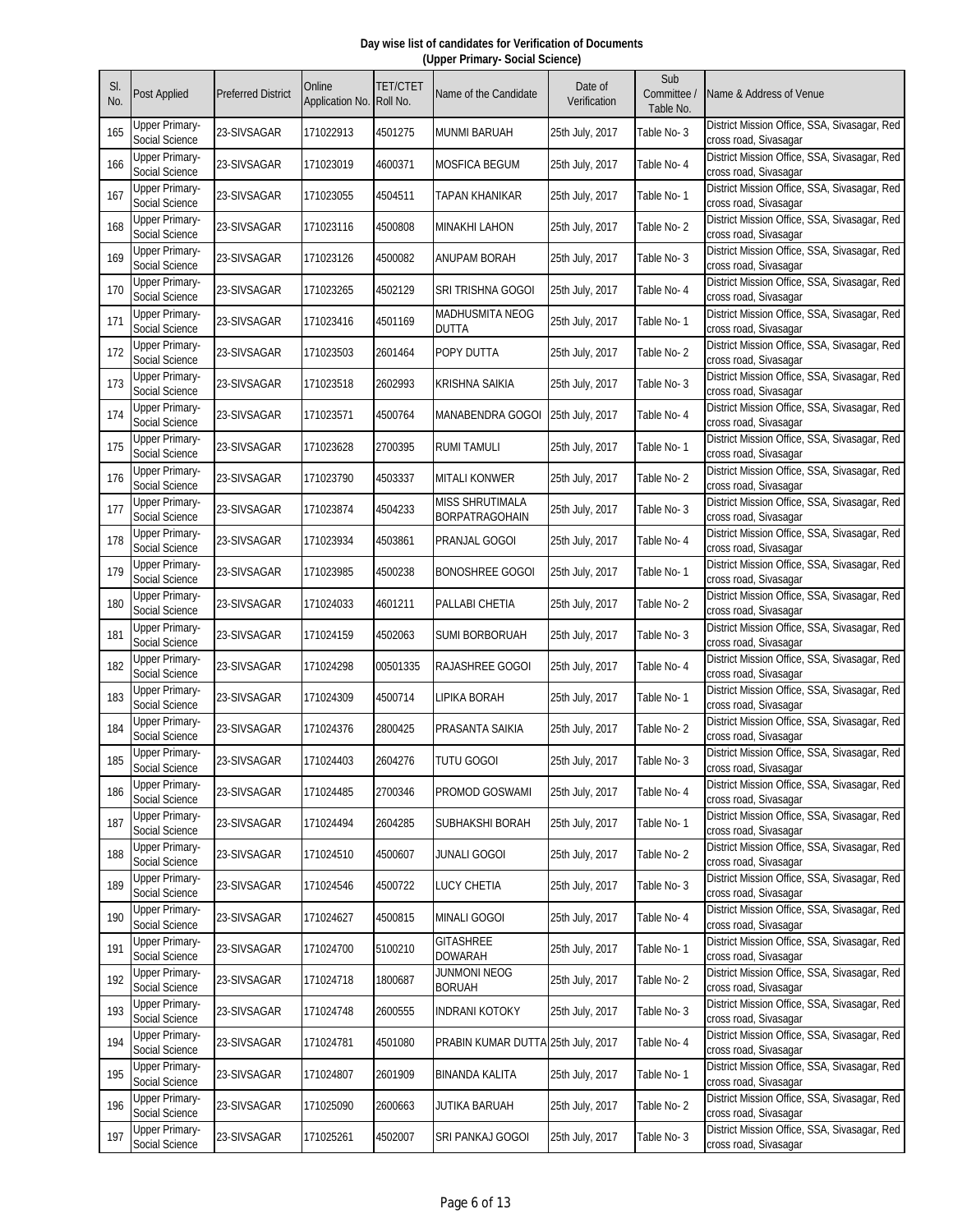| SI.<br>No. | <b>Post Applied</b>                     | <b>Preferred District</b> | Online<br>Application No. | <b>TET/CTET</b><br>Roll No. | Name of the Candidate                           | Date of<br>Verification | Sub<br>Committee /<br>Table No. | Name & Address of Venue                                               |
|------------|-----------------------------------------|---------------------------|---------------------------|-----------------------------|-------------------------------------------------|-------------------------|---------------------------------|-----------------------------------------------------------------------|
| 165        | Upper Primary-<br>Social Science        | 23-SIVSAGAR               | 171022913                 | 4501275                     | <b>MUNMI BARUAH</b>                             | 25th July, 2017         | Table No-3                      | District Mission Office, SSA, Sivasagar, Red<br>cross road, Sivasagar |
| 166        | <b>Upper Primary-</b><br>Social Science | 23-SIVSAGAR               | 171023019                 | 4600371                     | <b>MOSFICA BEGUM</b>                            | 25th July, 2017         | Table No-4                      | District Mission Office, SSA, Sivasagar, Red<br>cross road, Sivasagar |
| 167        | <b>Upper Primary-</b><br>Social Science | 23-SIVSAGAR               | 171023055                 | 4504511                     | TAPAN KHANIKAR                                  | 25th July, 2017         | Table No-1                      | District Mission Office, SSA, Sivasagar, Red<br>cross road, Sivasagar |
| 168        | <b>Upper Primary-</b><br>Social Science | 23-SIVSAGAR               | 171023116                 | 4500808                     | <b>MINAKHI LAHON</b>                            | 25th July, 2017         | Table No-2                      | District Mission Office, SSA, Sivasagar, Red<br>cross road, Sivasagar |
| 169        | <b>Upper Primary-</b><br>Social Science | 23-SIVSAGAR               | 171023126                 | 4500082                     | ANUPAM BORAH                                    | 25th July, 2017         | Table No-3                      | District Mission Office, SSA, Sivasagar, Red<br>cross road, Sivasagar |
| 170        | <b>Upper Primary-</b><br>Social Science | 23-SIVSAGAR               | 171023265                 | 4502129                     | SRI TRISHNA GOGOI                               | 25th July, 2017         | Table No- 4                     | District Mission Office, SSA, Sivasagar, Red<br>cross road, Sivasagar |
| 171        | <b>Upper Primary-</b><br>Social Science | 23-SIVSAGAR               | 171023416                 | 4501169                     | <b>MADHUSMITA NEOG</b><br><b>DUTTA</b>          | 25th July, 2017         | Table No- 1                     | District Mission Office, SSA, Sivasagar, Red<br>cross road, Sivasagar |
| 172        | <b>Upper Primary-</b><br>Social Science | 23-SIVSAGAR               | 171023503                 | 2601464                     | POPY DUTTA                                      | 25th July, 2017         | Table No-2                      | District Mission Office, SSA, Sivasagar, Red<br>cross road, Sivasagar |
| 173        | <b>Upper Primary-</b><br>Social Science | 23-SIVSAGAR               | 171023518                 | 2602993                     | KRISHNA SAIKIA                                  | 25th July, 2017         | Table No-3                      | District Mission Office, SSA, Sivasagar, Red<br>cross road, Sivasagar |
| 174        | <b>Upper Primary-</b><br>Social Science | 23-SIVSAGAR               | 171023571                 | 4500764                     | MANABENDRA GOGOI                                | 25th July, 2017         | Table No- 4                     | District Mission Office, SSA, Sivasagar, Red<br>cross road, Sivasagar |
| 175        | <b>Upper Primary-</b><br>Social Science | 23-SIVSAGAR               | 171023628                 | 2700395                     | <b>RUMI TAMULI</b>                              | 25th July, 2017         | Table No-1                      | District Mission Office, SSA, Sivasagar, Red<br>cross road, Sivasagar |
| 176        | <b>Upper Primary-</b><br>Social Science | 23-SIVSAGAR               | 171023790                 | 4503337                     | MITALI KONWER                                   | 25th July, 2017         | Table No-2                      | District Mission Office, SSA, Sivasagar, Red<br>cross road, Sivasagar |
| 177        | <b>Upper Primary-</b><br>Social Science | 23-SIVSAGAR               | 171023874                 | 4504233                     | <b>MISS SHRUTIMALA</b><br><b>BORPATRAGOHAIN</b> | 25th July, 2017         | Table No-3                      | District Mission Office, SSA, Sivasagar, Red<br>cross road, Sivasagar |
| 178        | <b>Upper Primary-</b><br>Social Science | 23-SIVSAGAR               | 171023934                 | 4503861                     | PRANJAL GOGOI                                   | 25th July, 2017         | Table No- 4                     | District Mission Office, SSA, Sivasagar, Red<br>cross road, Sivasagar |
| 179        | <b>Upper Primary-</b><br>Social Science | 23-SIVSAGAR               | 171023985                 | 4500238                     | BONOSHREE GOGOI                                 | 25th July, 2017         | Table No- 1                     | District Mission Office, SSA, Sivasagar, Red<br>cross road, Sivasagar |
| 180        | <b>Upper Primary-</b><br>Social Science | 23-SIVSAGAR               | 171024033                 | 4601211                     | PALLABI CHETIA                                  | 25th July, 2017         | Table No-2                      | District Mission Office, SSA, Sivasagar, Red<br>cross road, Sivasagar |
| 181        | <b>Upper Primary-</b><br>Social Science | 23-SIVSAGAR               | 171024159                 | 4502063                     | <b>SUMI BORBORUAH</b>                           | 25th July, 2017         | Table No-3                      | District Mission Office, SSA, Sivasagar, Red<br>cross road, Sivasagar |
| 182        | <b>Upper Primary-</b><br>Social Science | 23-SIVSAGAR               | 171024298                 | 00501335                    | RAJASHREE GOGOI                                 | 25th July, 2017         | Table No- 4                     | District Mission Office, SSA, Sivasagar, Red<br>cross road, Sivasagar |
| 183        | <b>Upper Primary-</b><br>Social Science | 23-SIVSAGAR               | 171024309                 | 4500714                     | LIPIKA BORAH                                    | 25th July, 2017         | Table No-1                      | District Mission Office, SSA, Sivasagar, Red<br>cross road, Sivasagar |
| 184        | <b>Upper Primary-</b><br>Social Science | 23-SIVSAGAR               | 171024376                 | 2800425                     | PRASANTA SAIKIA                                 | 25th July, 2017         | Table No-2                      | District Mission Office, SSA, Sivasagar, Red<br>cross road, Sivasagar |
| 185        | Upper Primary-<br>Social Science        | 23-SIVSAGAR               | 171024403                 | 2604276                     | <b>TUTU GOGOI</b>                               | 25th July, 2017         | Table No-3                      | District Mission Office, SSA, Sivasagar, Red<br>cross road, Sivasagar |
| 186        | <b>Upper Primary-</b><br>Social Science | 23-SIVSAGAR               | 171024485                 | 2700346                     | PROMOD GOSWAMI                                  | 25th July, 2017         | Table No- 4                     | District Mission Office, SSA, Sivasagar, Red<br>cross road, Sivasagar |
| 187        | <b>Upper Primary-</b><br>Social Science | 23-SIVSAGAR               | 171024494                 | 2604285                     | SUBHAKSHI BORAH                                 | 25th July, 2017         | Table No-1                      | District Mission Office, SSA, Sivasagar, Red<br>cross road, Sivasagar |
| 188        | <b>Upper Primary-</b><br>Social Science | 23-SIVSAGAR               | 171024510                 | 4500607                     | <b>JUNALI GOGOI</b>                             | 25th July, 2017         | Table No-2                      | District Mission Office, SSA, Sivasagar, Red<br>cross road, Sivasagar |
| 189        | <b>Upper Primary-</b><br>Social Science | 23-SIVSAGAR               | 171024546                 | 4500722                     | <b>LUCY CHETIA</b>                              | 25th July, 2017         | Table No-3                      | District Mission Office, SSA, Sivasagar, Red<br>cross road, Sivasagar |
| 190        | <b>Upper Primary-</b><br>Social Science | 23-SIVSAGAR               | 171024627                 | 4500815                     | <b>MINALI GOGOI</b>                             | 25th July, 2017         | Table No-4                      | District Mission Office, SSA, Sivasagar, Red<br>cross road, Sivasagar |
| 191        | <b>Upper Primary-</b><br>Social Science | 23-SIVSAGAR               | 171024700                 | 5100210                     | <b>GITASHREE</b><br><b>DOWARAH</b>              | 25th July, 2017         | Table No-1                      | District Mission Office, SSA, Sivasagar, Red<br>cross road, Sivasagar |
| 192        | <b>Upper Primary-</b><br>Social Science | 23-SIVSAGAR               | 171024718                 | 1800687                     | JUNMONI NEOG<br><b>BORUAH</b>                   | 25th July, 2017         | Table No-2                      | District Mission Office, SSA, Sivasagar, Red<br>cross road, Sivasagar |
| 193        | <b>Upper Primary-</b><br>Social Science | 23-SIVSAGAR               | 171024748                 | 2600555                     | <b>INDRANI KOTOKY</b>                           | 25th July, 2017         | Table No-3                      | District Mission Office, SSA, Sivasagar, Red<br>cross road, Sivasagar |
| 194        | <b>Upper Primary-</b><br>Social Science | 23-SIVSAGAR               | 171024781                 | 4501080                     | PRABIN KUMAR DUTTA 25th July, 2017              |                         | Table No- 4                     | District Mission Office, SSA, Sivasagar, Red<br>cross road, Sivasagar |
| 195        | <b>Upper Primary-</b><br>Social Science | 23-SIVSAGAR               | 171024807                 | 2601909                     | <b>BINANDA KALITA</b>                           | 25th July, 2017         | Table No-1                      | District Mission Office, SSA, Sivasagar, Red<br>cross road, Sivasagar |
| 196        | <b>Upper Primary-</b><br>Social Science | 23-SIVSAGAR               | 171025090                 | 2600663                     | JUTIKA BARUAH                                   | 25th July, 2017         | Table No-2                      | District Mission Office, SSA, Sivasagar, Red<br>cross road, Sivasagar |
| 197        | <b>Upper Primary-</b><br>Social Science | 23-SIVSAGAR               | 171025261                 | 4502007                     | SRI PANKAJ GOGOI                                | 25th July, 2017         | Table No-3                      | District Mission Office, SSA, Sivasagar, Red<br>cross road, Sivasagar |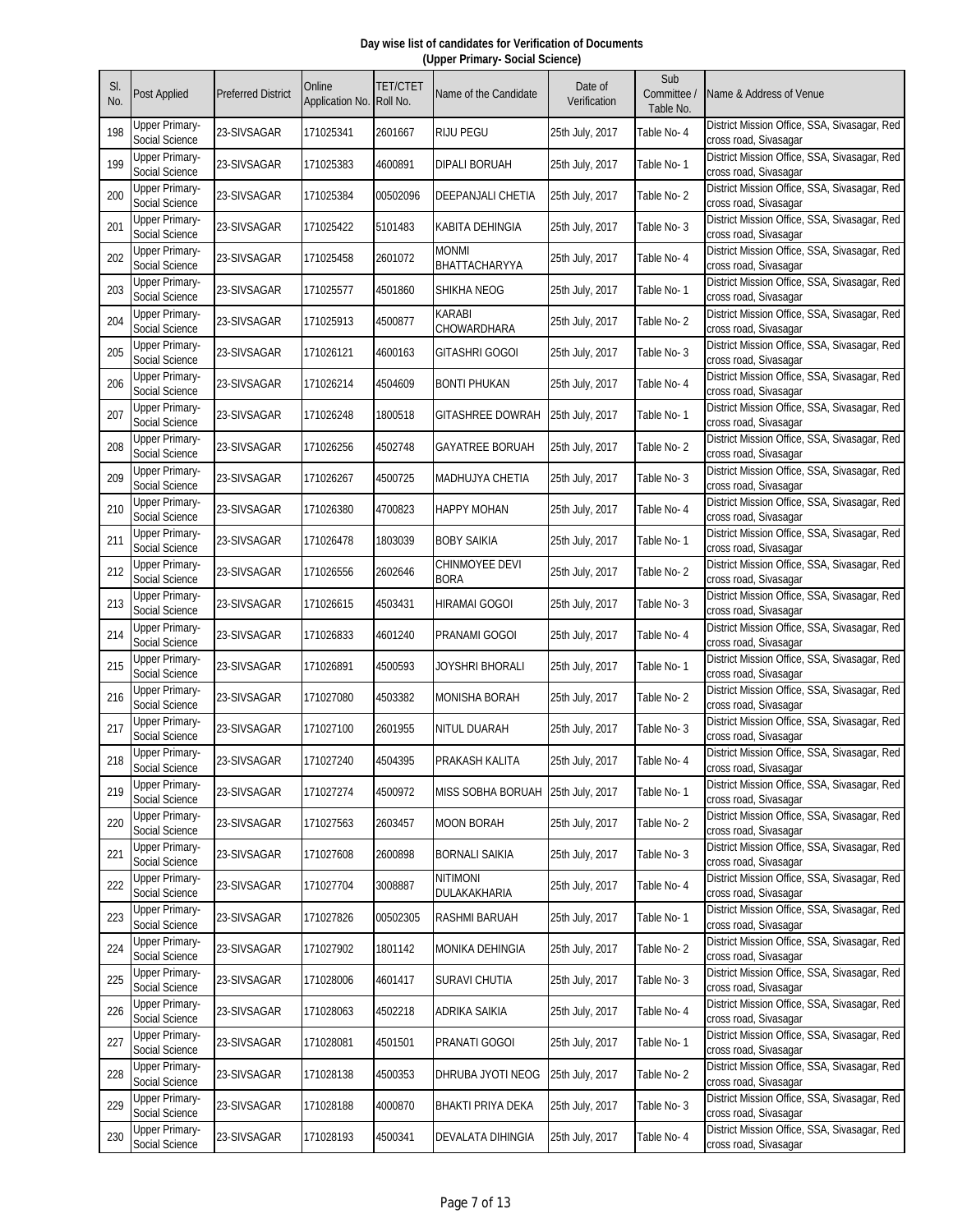| SI.<br>No. | <b>Post Applied</b>                     | <b>Preferred District</b> | Online<br>Application No. Roll No. | <b>TET/CTET</b> | Name of the Candidate                | Date of<br>Verification | Sub<br>Committee /      | Vame & Address of Venue                                               |
|------------|-----------------------------------------|---------------------------|------------------------------------|-----------------|--------------------------------------|-------------------------|-------------------------|-----------------------------------------------------------------------|
| 198        | <b>Upper Primary-</b>                   | 23-SIVSAGAR               | 171025341                          | 2601667         | <b>RIJU PEGU</b>                     | 25th July, 2017         | Table No.<br>Table No-4 | District Mission Office, SSA, Sivasagar, Red                          |
| 199        | Social Science<br><b>Upper Primary-</b> | 23-SIVSAGAR               | 171025383                          | 4600891         | <b>DIPALI BORUAH</b>                 | 25th July, 2017         | Table No-1              | cross road, Sivasagar<br>District Mission Office, SSA, Sivasagar, Red |
| 200        | Social Science<br>Upper Primary-        | 23-SIVSAGAR               | 171025384                          | 00502096        | <b>DEEPANJALI CHETIA</b>             | 25th July, 2017         | Table No-2              | cross road, Sivasagar<br>District Mission Office, SSA, Sivasagar, Red |
|            | Social Science<br><b>Upper Primary-</b> |                           |                                    |                 |                                      |                         |                         | cross road, Sivasagar<br>District Mission Office, SSA, Sivasagar, Red |
| 201        | Social Science<br><b>Upper Primary-</b> | 23-SIVSAGAR               | 171025422                          | 5101483         | KABITA DEHINGIA<br><b>MONMI</b>      | 25th July, 2017         | Table No-3              | cross road, Sivasagar<br>District Mission Office, SSA, Sivasagar, Red |
| 202        | Social Science                          | 23-SIVSAGAR               | 171025458                          | 2601072         | BHATTACHARYYA                        | 25th July, 2017         | Table No- 4             | cross road, Sivasagar                                                 |
| 203        | <b>Upper Primary-</b><br>Social Science | 23-SIVSAGAR               | 171025577                          | 4501860         | <b>SHIKHA NEOG</b>                   | 25th July, 2017         | Table No-1              | District Mission Office, SSA, Sivasagar, Red<br>cross road, Sivasagar |
| 204        | <b>Upper Primary-</b><br>Social Science | 23-SIVSAGAR               | 171025913                          | 4500877         | <b>KARABI</b><br>CHOWARDHARA         | 25th July, 2017         | Table No-2              | District Mission Office, SSA, Sivasagar, Red<br>cross road, Sivasagar |
| 205        | <b>Upper Primary-</b><br>Social Science | 23-SIVSAGAR               | 171026121                          | 4600163         | <b>GITASHRI GOGOI</b>                | 25th July, 2017         | Table No-3              | District Mission Office, SSA, Sivasagar, Red<br>cross road, Sivasagar |
| 206        | Upper Primary-<br>Social Science        | 23-SIVSAGAR               | 171026214                          | 4504609         | <b>BONTI PHUKAN</b>                  | 25th July, 2017         | Table No-4              | District Mission Office, SSA, Sivasagar, Red<br>cross road, Sivasagar |
| 207        | <b>Upper Primary-</b><br>Social Science | 23-SIVSAGAR               | 171026248                          | 1800518         | <b>GITASHREE DOWRAH</b>              | 25th July, 2017         | Table No-1              | District Mission Office, SSA, Sivasagar, Red<br>cross road, Sivasagar |
| 208        | <b>Upper Primary-</b><br>Social Science | 23-SIVSAGAR               | 171026256                          | 4502748         | <b>GAYATREE BORUAH</b>               | 25th July, 2017         | Table No-2              | District Mission Office, SSA, Sivasagar, Red<br>cross road, Sivasagar |
| 209        | <b>Upper Primary-</b><br>Social Science | 23-SIVSAGAR               | 171026267                          | 4500725         | <b>MADHUJYA CHETIA</b>               | 25th July, 2017         | Table No-3              | District Mission Office, SSA, Sivasagar, Red<br>cross road, Sivasagar |
| 210        | <b>Upper Primary-</b><br>Social Science | 23-SIVSAGAR               | 171026380                          | 4700823         | <b>HAPPY MOHAN</b>                   | 25th July, 2017         | Table No- 4             | District Mission Office, SSA, Sivasagar, Red<br>cross road, Sivasagar |
| 211        | <b>Upper Primary-</b><br>Social Science | 23-SIVSAGAR               | 171026478                          | 1803039         | <b>BOBY SAIKIA</b>                   | 25th July, 2017         | Table No-1              | District Mission Office, SSA, Sivasagar, Red<br>cross road, Sivasagar |
| 212        | Upper Primary-<br>Social Science        | 23-SIVSAGAR               | 171026556                          | 2602646         | <b>CHINMOYEE DEVI</b><br><b>BORA</b> | 25th July, 2017         | Table No-2              | District Mission Office, SSA, Sivasagar, Red<br>cross road, Sivasagar |
| 213        | Upper Primary-<br>Social Science        | 23-SIVSAGAR               | 171026615                          | 4503431         | <b>HIRAMAI GOGOI</b>                 | 25th July, 2017         | Table No-3              | District Mission Office, SSA, Sivasagar, Red<br>cross road, Sivasagar |
| 214        | <b>Upper Primary-</b><br>Social Science | 23-SIVSAGAR               | 171026833                          | 4601240         | <b>PRANAMI GOGOI</b>                 | 25th July, 2017         | Table No- 4             | District Mission Office, SSA, Sivasagar, Red<br>cross road, Sivasagar |
| 215        | <b>Upper Primary-</b><br>Social Science | 23-SIVSAGAR               | 171026891                          | 4500593         | JOYSHRI BHORALI                      | 25th July, 2017         | Table No- 1             | District Mission Office, SSA, Sivasagar, Red<br>cross road, Sivasagar |
| 216        | <b>Upper Primary-</b><br>Social Science | 23-SIVSAGAR               | 171027080                          | 4503382         | <b>MONISHA BORAH</b>                 | 25th July, 2017         | Table No-2              | District Mission Office, SSA, Sivasagar, Red<br>cross road, Sivasagar |
| 217        | <b>Upper Primary-</b><br>Social Science | 23-SIVSAGAR               | 171027100                          | 2601955         | NITUL DUARAH                         | 25th July, 2017         | Table No- 3             | District Mission Office, SSA, Sivasagar, Red<br>cross road, Sivasagar |
| 218        | Upper Primary-<br>Social Science        | 23-SIVSAGAR               | 171027240                          | 4504395         | PRAKASH KALITA                       | 25th July, 2017         | Table No- 4             | District Mission Office, SSA, Sivasagar, Red<br>cross road, Sivasagar |
| 219        | Upper Primary-<br>Social Science        | 23-SIVSAGAR               | 171027274                          | 4500972         | MISS SOBHA BORUAH                    | 25th July, 2017         | Table No-1              | District Mission Office, SSA, Sivasagar, Red<br>cross road, Sivasagar |
| 220        | <b>Upper Primary-</b><br>Social Science | 23-SIVSAGAR               | 171027563                          | 2603457         | <b>MOON BORAH</b>                    | 25th July, 2017         | Table No-2              | District Mission Office, SSA, Sivasagar, Red<br>cross road, Sivasagar |
| 221        | <b>Upper Primary-</b><br>Social Science | 23-SIVSAGAR               | 171027608                          | 2600898         | <b>BORNALI SAIKIA</b>                | 25th July, 2017         | Table No-3              | District Mission Office, SSA, Sivasagar, Red<br>cross road, Sivasagar |
| 222        | <b>Upper Primary-</b><br>Social Science | 23-SIVSAGAR               | 171027704                          | 3008887         | <b>NITIMONI</b><br>DULAKAKHARIA      | 25th July, 2017         | Table No-4              | District Mission Office, SSA, Sivasagar, Red<br>cross road, Sivasagar |
| 223        | <b>Upper Primary-</b><br>Social Science | 23-SIVSAGAR               | 171027826                          | 00502305        | <b>RASHMI BARUAH</b>                 | 25th July, 2017         | Table No-1              | District Mission Office, SSA, Sivasagar, Red<br>cross road, Sivasagar |
| 224        | <b>Upper Primary-</b><br>Social Science | 23-SIVSAGAR               | 171027902                          | 1801142         | MONIKA DEHINGIA                      | 25th July, 2017         | Table No-2              | District Mission Office, SSA, Sivasagar, Red<br>cross road, Sivasagar |
| 225        | <b>Upper Primary-</b><br>Social Science | 23-SIVSAGAR               | 171028006                          | 4601417         | <b>SURAVI CHUTIA</b>                 | 25th July, 2017         | Table No-3              | District Mission Office, SSA, Sivasagar, Red<br>cross road, Sivasagar |
| 226        | <b>Upper Primary-</b><br>Social Science | 23-SIVSAGAR               | 171028063                          | 4502218         | ADRIKA SAIKIA                        | 25th July, 2017         | Table No- 4             | District Mission Office, SSA, Sivasagar, Red<br>cross road, Sivasagar |
| 227        | <b>Upper Primary-</b><br>Social Science | 23-SIVSAGAR               | 171028081                          | 4501501         | PRANATI GOGOI                        | 25th July, 2017         | Table No-1              | District Mission Office, SSA, Sivasagar, Red<br>cross road, Sivasagar |
| 228        | <b>Upper Primary-</b><br>Social Science | 23-SIVSAGAR               | 171028138                          | 4500353         | DHRUBA JYOTI NEOG                    | 25th July, 2017         | Table No-2              | District Mission Office, SSA, Sivasagar, Red<br>cross road, Sivasagar |
| 229        | <b>Upper Primary-</b><br>Social Science | 23-SIVSAGAR               | 171028188                          | 4000870         | <b>BHAKTI PRIYA DEKA</b>             | 25th July, 2017         | Table No-3              | District Mission Office, SSA, Sivasagar, Red<br>cross road, Sivasagar |
| 230        | <b>Upper Primary-</b><br>Social Science | 23-SIVSAGAR               | 171028193                          | 4500341         | <b>DEVALATA DIHINGIA</b>             | 25th July, 2017         | Table No- 4             | District Mission Office, SSA, Sivasagar, Red<br>cross road, Sivasagar |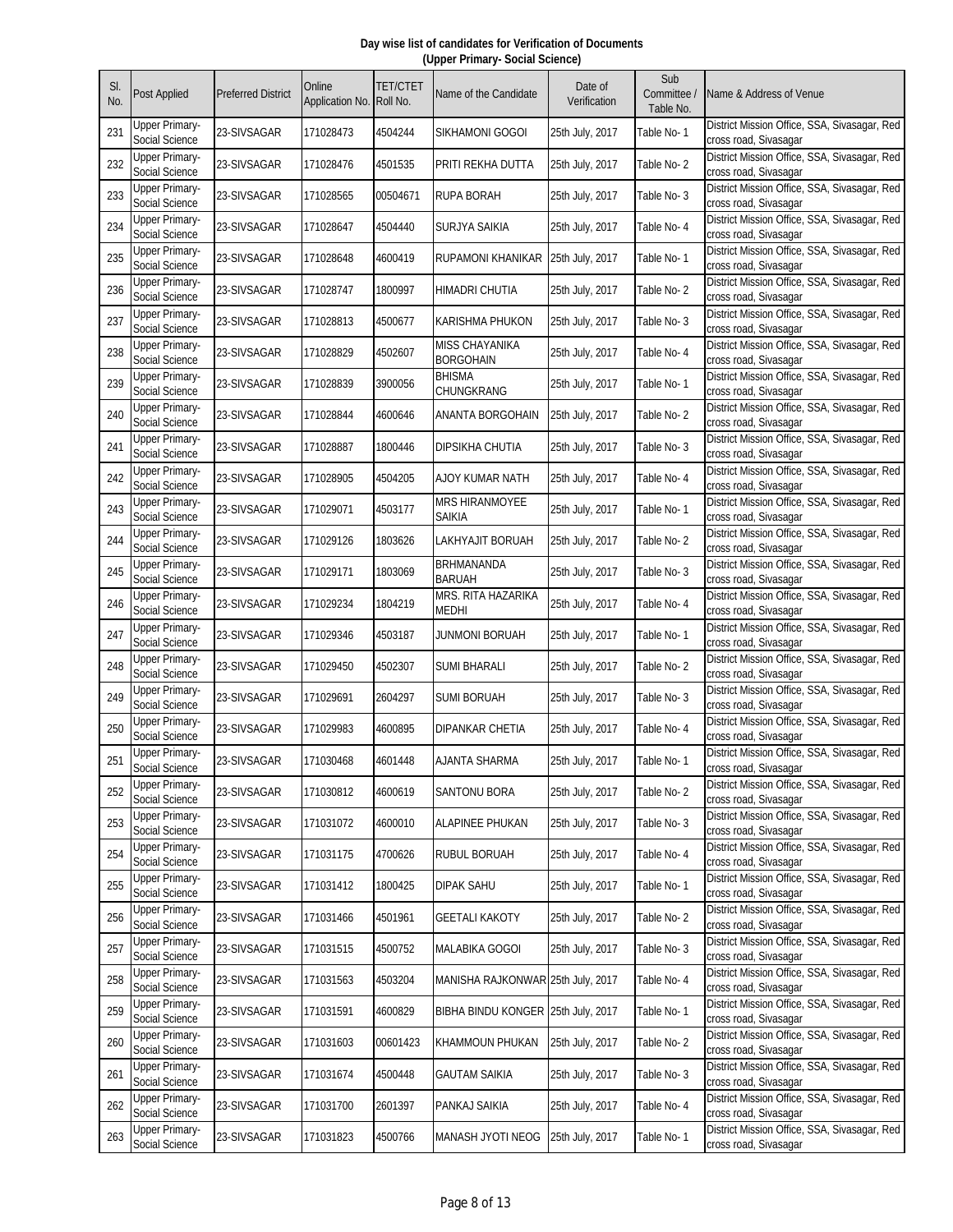| SI.<br>No. | Post Applied                                   | <b>Preferred District</b> | Online<br>Application No. | <b>TET/CTET</b><br>Roll No. | Name of the Candidate                     | Date of<br>Verification | Sub<br>Committee /<br>Table No. | Name & Address of Venue                                               |
|------------|------------------------------------------------|---------------------------|---------------------------|-----------------------------|-------------------------------------------|-------------------------|---------------------------------|-----------------------------------------------------------------------|
| 231        | <b>Upper Primary-</b><br>Social Science        | 23-SIVSAGAR               | 171028473                 | 4504244                     | SIKHAMONI GOGOI                           | 25th July, 2017         | Table No- 1                     | District Mission Office, SSA, Sivasagar, Red<br>cross road, Sivasagar |
| 232        | <b>Upper Primary-</b><br>Social Science        | 23-SIVSAGAR               | 171028476                 | 4501535                     | PRITI REKHA DUTTA                         | 25th July, 2017         | Table No-2                      | District Mission Office, SSA, Sivasagar, Red<br>cross road, Sivasagar |
| 233        | <b>Upper Primary-</b><br>Social Science        | 23-SIVSAGAR               | 171028565                 | 00504671                    | <b>RUPA BORAH</b>                         | 25th July, 2017         | Table No-3                      | District Mission Office, SSA, Sivasagar, Red<br>cross road, Sivasagar |
| 234        | <b>Upper Primary-</b><br>Social Science        | 23-SIVSAGAR               | 171028647                 | 4504440                     | SURJYA SAIKIA                             | 25th July, 2017         | Table No-4                      | District Mission Office, SSA, Sivasagar, Red<br>cross road, Sivasagar |
| 235        | <b>Upper Primary-</b><br>Social Science        | 23-SIVSAGAR               | 171028648                 | 4600419                     | RUPAMONI KHANIKAR                         | 25th July, 2017         | Table No- 1                     | District Mission Office, SSA, Sivasagar, Red<br>cross road, Sivasagar |
| 236        | <b>Upper Primary-</b><br>Social Science        | 23-SIVSAGAR               | 171028747                 | 1800997                     | HIMADRI CHUTIA                            | 25th July, 2017         | Table No-2                      | District Mission Office, SSA, Sivasagar, Red<br>cross road, Sivasagar |
| 237        | <b>Upper Primary-</b><br>Social Science        | 23-SIVSAGAR               | 171028813                 | 4500677                     | KARISHMA PHUKON                           | 25th July, 2017         | Table No-3                      | District Mission Office, SSA, Sivasagar, Red<br>cross road, Sivasagar |
| 238        | <b>Upper Primary-</b><br>Social Science        | 23-SIVSAGAR               | 171028829                 | 4502607                     | <b>MISS CHAYANIKA</b><br><b>BORGOHAIN</b> | 25th July, 2017         | Table No- 4                     | District Mission Office, SSA, Sivasagar, Red<br>cross road, Sivasagar |
| 239        | <b>Upper Primary-</b><br>Social Science        | 23-SIVSAGAR               | 171028839                 | 3900056                     | <b>BHISMA</b><br>CHUNGKRANG               | 25th July, 2017         | Table No-1                      | District Mission Office, SSA, Sivasagar, Red<br>cross road, Sivasagar |
| 240        | <b>Upper Primary-</b><br>Social Science        | 23-SIVSAGAR               | 171028844                 | 4600646                     | ANANTA BORGOHAIN                          | 25th July, 2017         | Table No-2                      | District Mission Office, SSA, Sivasagar, Red<br>cross road, Sivasagar |
| 241        | <b>Upper Primary-</b><br>Social Science        | 23-SIVSAGAR               | 171028887                 | 1800446                     | <b>DIPSIKHA CHUTIA</b>                    | 25th July, 2017         | Table No-3                      | District Mission Office, SSA, Sivasagar, Red<br>cross road, Sivasagar |
| 242        | Upper Primary-<br>Social Science               | 23-SIVSAGAR               | 171028905                 | 4504205                     | AJOY KUMAR NATH                           | 25th July, 2017         | Table No- 4                     | District Mission Office, SSA, Sivasagar, Red<br>cross road, Sivasagar |
| 243        | <b>Upper Primary-</b><br>Social Science        | 23-SIVSAGAR               | 171029071                 | 4503177                     | <b>MRS HIRANMOYEE</b><br>Saikia           | 25th July, 2017         | Table No-1                      | District Mission Office, SSA, Sivasagar, Red<br>cross road, Sivasagar |
| 244        | <b>Upper Primary-</b><br>Social Science        | 23-SIVSAGAR               | 171029126                 | 1803626                     | LAKHYAJIT BORUAH                          | 25th July, 2017         | Table No-2                      | District Mission Office, SSA, Sivasagar, Red<br>cross road, Sivasagar |
| 245        | <b>Upper Primary-</b><br>Social Science        | 23-SIVSAGAR               | 171029171                 | 1803069                     | BRHMANANDA<br><b>BARUAH</b>               | 25th July, 2017         | Table No-3                      | District Mission Office, SSA, Sivasagar, Red<br>cross road, Sivasagar |
| 246        | <b>Upper Primary-</b><br>Social Science        | 23-SIVSAGAR               | 171029234                 | 1804219                     | MRS. RITA HAZARIKA<br>MEDHI               | 25th July, 2017         | Table No- 4                     | District Mission Office, SSA, Sivasagar, Red<br>cross road, Sivasagar |
| 247        | <b>Upper Primary-</b><br>Social Science        | 23-SIVSAGAR               | 171029346                 | 4503187                     | JUNMONI BORUAH                            | 25th July, 2017         | Table No-1                      | District Mission Office, SSA, Sivasagar, Red<br>cross road, Sivasagar |
| 248        | <b>Upper Primary-</b><br>Social Science        | 23-SIVSAGAR               | 171029450                 | 4502307                     | SUMI BHARALI                              | 25th July, 2017         | Table No-2                      | District Mission Office, SSA, Sivasagar, Red<br>cross road, Sivasagar |
| 249        | <b>Upper Primary-</b><br>Social Science        | 23-SIVSAGAR               | 171029691                 | 2604297                     | <b>SUMI BORUAH</b>                        | 25th July, 2017         | Table No-3                      | District Mission Office, SSA, Sivasagar, Red<br>cross road, Sivasagar |
| 250        | <b>Upper Primary-</b><br>Social Science        | 23-SIVSAGAR               | 171029983                 | 4600895                     | DIPANKAR CHETIA                           | 25th July, 2017         | Table No- 4                     | District Mission Office, SSA, Sivasagar, Red<br>cross road, Sivasagar |
| 251        | <b>Upper Primary-</b><br>Social Science        | 23-SIVSAGAR               | 171030468                 | 4601448                     | AJANTA SHARMA                             | 25th July, 2017         | Table No-1                      | District Mission Office, SSA, Sivasagar, Red<br>cross road, Sivasagar |
| 252        | <b>Upper Primary-</b><br>Social Science        | 23-SIVSAGAR               | 171030812                 | 4600619                     | <b>SANTONU BORA</b>                       | 25th July, 2017         | Table No-2                      | District Mission Office, SSA, Sivasagar, Red<br>cross road, Sivasagar |
| 253        | <b>Upper Primary-</b><br>Social Science        | 23-SIVSAGAR               | 171031072                 | 4600010                     | <b>ALAPINEE PHUKAN</b>                    | 25th July, 2017         | Table No-3                      | District Mission Office, SSA, Sivasagar, Red<br>cross road, Sivasagar |
| 254        | <b>Upper Primary-</b><br>Social Science        | 23-SIVSAGAR               | 171031175                 | 4700626                     | RUBUL BORUAH                              | 25th July, 2017         | Table No- 4                     | District Mission Office, SSA, Sivasagar, Red<br>cross road, Sivasagar |
| 255        | <b>Upper Primary-</b><br>Social Science        | 23-SIVSAGAR               | 171031412                 | 1800425                     | <b>DIPAK SAHU</b>                         | 25th July, 2017         | Table No-1                      | District Mission Office, SSA, Sivasagar, Red<br>cross road, Sivasagar |
| 256        | <b>Upper Primary-</b><br>Social Science        | 23-SIVSAGAR               | 171031466                 | 4501961                     | <b>GEETALI KAKOTY</b>                     | 25th July, 2017         | Table No-2                      | District Mission Office, SSA, Sivasagar, Red<br>cross road, Sivasagar |
| 257        | <b>Upper Primary-</b><br>Social Science        | 23-SIVSAGAR               | 171031515                 | 4500752                     | MALABIKA GOGOI                            | 25th July, 2017         | Table No-3                      | District Mission Office, SSA, Sivasagar, Red<br>cross road, Sivasagar |
| 258        | <b>Upper Primary-</b><br>Social Science        | 23-SIVSAGAR               | 171031563                 | 4503204                     | MANISHA RAJKONWAR 25th July, 2017         |                         | Table No- 4                     | District Mission Office, SSA, Sivasagar, Red<br>cross road, Sivasagar |
| 259        | <b>Upper Primary-</b><br>Social Science        | 23-SIVSAGAR               | 171031591                 | 4600829                     | BIBHA BINDU KONGER 25th July, 2017        |                         | Table No-1                      | District Mission Office, SSA, Sivasagar, Red<br>cross road, Sivasagar |
| 260        | <b>Upper Primary-</b><br><b>Social Science</b> | 23-SIVSAGAR               | 171031603                 | 00601423                    | KHAMMOUN PHUKAN                           | 25th July, 2017         | Table No-2                      | District Mission Office, SSA, Sivasagar, Red<br>cross road, Sivasagar |
| 261        | <b>Upper Primary-</b><br>Social Science        | 23-SIVSAGAR               | 171031674                 | 4500448                     | <b>GAUTAM SAIKIA</b>                      | 25th July, 2017         | Table No-3                      | District Mission Office, SSA, Sivasagar, Red<br>cross road, Sivasagar |
| 262        | <b>Upper Primary-</b><br>Social Science        | 23-SIVSAGAR               | 171031700                 | 2601397                     | PANKAJ SAIKIA                             | 25th July, 2017         | Table No-4                      | District Mission Office, SSA, Sivasagar, Red<br>cross road, Sivasagar |
| 263        | <b>Upper Primary-</b><br>Social Science        | 23-SIVSAGAR               | 171031823                 | 4500766                     | MANASH JYOTI NEOG                         | 25th July, 2017         | Table No-1                      | District Mission Office, SSA, Sivasagar, Red<br>cross road, Sivasagar |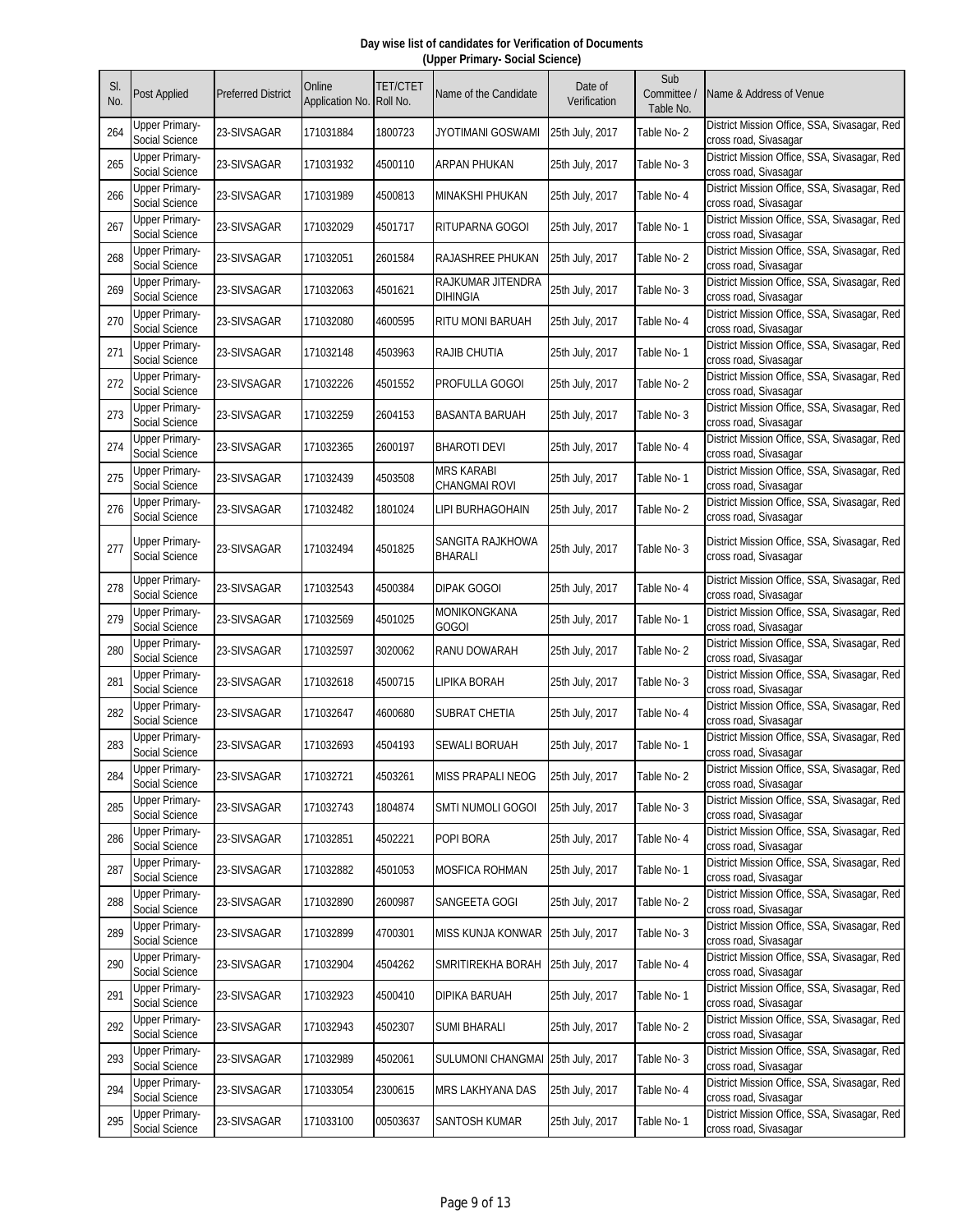| SI.<br>No. | <b>Post Applied</b>                     | <b>Preferred District</b> | Online<br>Application No. | <b>TET/CTET</b><br>Roll No. | Name of the Candidate                     | Date of<br>Verification | Sub<br>Committee /<br>Table No. | Name & Address of Venue                                               |
|------------|-----------------------------------------|---------------------------|---------------------------|-----------------------------|-------------------------------------------|-------------------------|---------------------------------|-----------------------------------------------------------------------|
| 264        | <b>Upper Primary-</b><br>Social Science | 23-SIVSAGAR               | 171031884                 | 1800723                     | JYOTIMANI GOSWAMI                         | 25th July, 2017         | Table No-2                      | District Mission Office, SSA, Sivasagar, Red<br>cross road, Sivasagar |
| 265        | <b>Upper Primary-</b><br>Social Science | 23-SIVSAGAR               | 171031932                 | 4500110                     | ARPAN PHUKAN                              | 25th July, 2017         | Table No-3                      | District Mission Office, SSA, Sivasagar, Red<br>cross road, Sivasagar |
| 266        | <b>Upper Primary-</b><br>Social Science | 23-SIVSAGAR               | 171031989                 | 4500813                     | <b>MINAKSHI PHUKAN</b>                    | 25th July, 2017         | Table No- 4                     | District Mission Office, SSA, Sivasagar, Red<br>cross road, Sivasagar |
| 267        | <b>Upper Primary-</b><br>Social Science | 23-SIVSAGAR               | 171032029                 | 4501717                     | RITUPARNA GOGOI                           | 25th July, 2017         | Table No- 1                     | District Mission Office, SSA, Sivasagar, Red<br>cross road, Sivasagar |
| 268        | <b>Upper Primary-</b><br>Social Science | 23-SIVSAGAR               | 171032051                 | 2601584                     | RAJASHREE PHUKAN                          | 25th July, 2017         | Table No-2                      | District Mission Office, SSA, Sivasagar, Red<br>cross road, Sivasagar |
| 269        | <b>Upper Primary-</b><br>Social Science | 23-SIVSAGAR               | 171032063                 | 4501621                     | RAJKUMAR JITENDRA<br><b>DIHINGIA</b>      | 25th July, 2017         | Table No-3                      | District Mission Office, SSA, Sivasagar, Red<br>cross road, Sivasagar |
| 270        | <b>Upper Primary-</b><br>Social Science | 23-SIVSAGAR               | 171032080                 | 4600595                     | RITU MONI BARUAH                          | 25th July, 2017         | Table No- 4                     | District Mission Office, SSA, Sivasagar, Red<br>cross road, Sivasagar |
| 271        | <b>Upper Primary-</b><br>Social Science | 23-SIVSAGAR               | 171032148                 | 4503963                     | <b>RAJIB CHUTIA</b>                       | 25th July, 2017         | Table No-1                      | District Mission Office, SSA, Sivasagar, Red<br>cross road, Sivasagar |
| 272        | <b>Upper Primary-</b><br>Social Science | 23-SIVSAGAR               | 171032226                 | 4501552                     | PROFULLA GOGOI                            | 25th July, 2017         | Table No-2                      | District Mission Office, SSA, Sivasagar, Red<br>cross road, Sivasagar |
| 273        | <b>Upper Primary-</b><br>Social Science | 23-SIVSAGAR               | 171032259                 | 2604153                     | BASANTA BARUAH                            | 25th July, 2017         | Table No-3                      | District Mission Office, SSA, Sivasagar, Red<br>cross road, Sivasagar |
| 274        | <b>Upper Primary-</b><br>Social Science | 23-SIVSAGAR               | 171032365                 | 2600197                     | <b>BHAROTI DEVI</b>                       | 25th July, 2017         | Table No- 4                     | District Mission Office, SSA, Sivasagar, Red<br>cross road, Sivasagar |
| 275        | <b>Upper Primary-</b><br>Social Science | 23-SIVSAGAR               | 171032439                 | 4503508                     | <b>MRS KARABI</b><br><b>CHANGMAI ROVI</b> | 25th July, 2017         | Table No-1                      | District Mission Office, SSA, Sivasagar, Red<br>cross road, Sivasagar |
| 276        | <b>Upper Primary-</b><br>Social Science | 23-SIVSAGAR               | 171032482                 | 1801024                     | LIPI BURHAGOHAIN                          | 25th July, 2017         | Table No-2                      | District Mission Office, SSA, Sivasagar, Red<br>cross road, Sivasagar |
| 277        | <b>Upper Primary-</b><br>Social Science | 23-SIVSAGAR               | 171032494                 | 4501825                     | SANGITA RAJKHOWA<br>BHARALI               | 25th July, 2017         | Table No-3                      | District Mission Office, SSA, Sivasagar, Red<br>cross road, Sivasagar |
| 278        | <b>Upper Primary-</b><br>Social Science | 23-SIVSAGAR               | 171032543                 | 4500384                     | <b>DIPAK GOGOI</b>                        | 25th July, 2017         | Table No- 4                     | District Mission Office, SSA, Sivasagar, Red<br>cross road, Sivasagar |
| 279        | <b>Upper Primary-</b><br>Social Science | 23-SIVSAGAR               | 171032569                 | 4501025                     | MONIKONGKANA<br><b>GOGOI</b>              | 25th July, 2017         | Table No-1                      | District Mission Office, SSA, Sivasagar, Red<br>cross road, Sivasagar |
| 280        | <b>Upper Primary-</b><br>Social Science | 23-SIVSAGAR               | 171032597                 | 3020062                     | RANU DOWARAH                              | 25th July, 2017         | Table No-2                      | District Mission Office, SSA, Sivasagar, Red<br>cross road, Sivasagar |
| 281        | <b>Upper Primary-</b><br>Social Science | 23-SIVSAGAR               | 171032618                 | 4500715                     | LIPIKA BORAH                              | 25th July, 2017         | Table No-3                      | District Mission Office, SSA, Sivasagar, Red<br>cross road, Sivasagar |
| 282        | <b>Upper Primary-</b><br>Social Science | 23-SIVSAGAR               | 171032647                 | 4600680                     | SUBRAT CHETIA                             | 25th July, 2017         | Table No- 4                     | District Mission Office, SSA, Sivasagar, Red<br>cross road, Sivasagar |
| 283        | <b>Upper Primary-</b><br>Social Science | 23-SIVSAGAR               | 171032693                 | 4504193                     | <b>SEWALI BORUAH</b>                      | 25th July, 2017         | Table No-1                      | District Mission Office, SSA, Sivasagar, Red<br>cross road, Sivasagar |
| 284        | <b>Upper Primary-</b><br>Social Science | 23-SIVSAGAR               | 171032721                 | 4503261                     | MISS PRAPALI NEOG                         | 25th July, 2017         | Table No-2                      | District Mission Office, SSA, Sivasagar, Red<br>cross road, Sivasagar |
| 285        | <b>Upper Primary-</b><br>Social Science | 23-SIVSAGAR               | 171032743                 | 1804874                     | Smti numoli gogoi                         | 25th July, 2017         | Table No-3                      | District Mission Office, SSA, Sivasagar, Red<br>cross road, Sivasagar |
| 286        | <b>Upper Primary-</b><br>Social Science | 23-SIVSAGAR               | 171032851                 | 4502221                     | POPI BORA                                 | 25th July, 2017         | Table No- 4                     | District Mission Office, SSA, Sivasagar, Red<br>cross road, Sivasagar |
| 287        | <b>Upper Primary-</b><br>Social Science | 23-SIVSAGAR               | 171032882                 | 4501053                     | <b>MOSFICA ROHMAN</b>                     | 25th July, 2017         | Table No-1                      | District Mission Office, SSA, Sivasagar, Red<br>cross road, Sivasagar |
| 288        | <b>Upper Primary-</b><br>Social Science | 23-SIVSAGAR               | 171032890                 | 2600987                     | SANGEETA GOGI                             | 25th July, 2017         | Table No-2                      | District Mission Office, SSA, Sivasagar, Red<br>cross road, Sivasagar |
| 289        | <b>Upper Primary-</b><br>Social Science | 23-SIVSAGAR               | 171032899                 | 4700301                     | <b>MISS KUNJA KONWAR</b>                  | 25th July, 2017         | Table No-3                      | District Mission Office, SSA, Sivasagar, Red<br>cross road, Sivasagar |
| 290        | <b>Upper Primary-</b><br>Social Science | 23-SIVSAGAR               | 171032904                 | 4504262                     | SMRITIREKHA BORAH                         | 25th July, 2017         | Table No-4                      | District Mission Office, SSA, Sivasagar, Red<br>cross road, Sivasagar |
| 291        | <b>Upper Primary-</b><br>Social Science | 23-SIVSAGAR               | 171032923                 | 4500410                     | DIPIKA BARUAH                             | 25th July, 2017         | Table No-1                      | District Mission Office, SSA, Sivasagar, Red<br>cross road, Sivasagar |
| 292        | <b>Upper Primary-</b><br>Social Science | 23-SIVSAGAR               | 171032943                 | 4502307                     | <b>SUMI BHARALI</b>                       | 25th July, 2017         | Table No-2                      | District Mission Office, SSA, Sivasagar, Red<br>cross road, Sivasagar |
| 293        | <b>Upper Primary-</b><br>Social Science | 23-SIVSAGAR               | 171032989                 | 4502061                     | SULUMONI CHANGMAI                         | 25th July, 2017         | Table No-3                      | District Mission Office, SSA, Sivasagar, Red<br>cross road, Sivasagar |
| 294        | <b>Upper Primary-</b><br>Social Science | 23-SIVSAGAR               | 171033054                 | 2300615                     | <b>MRS LAKHYANA DAS</b>                   | 25th July, 2017         | Table No- 4                     | District Mission Office, SSA, Sivasagar, Red<br>cross road, Sivasagar |
| 295        | <b>Upper Primary-</b><br>Social Science | 23-SIVSAGAR               | 171033100                 | 00503637                    | <b>SANTOSH KUMAR</b>                      | 25th July, 2017         | Table No-1                      | District Mission Office, SSA, Sivasagar, Red<br>cross road, Sivasagar |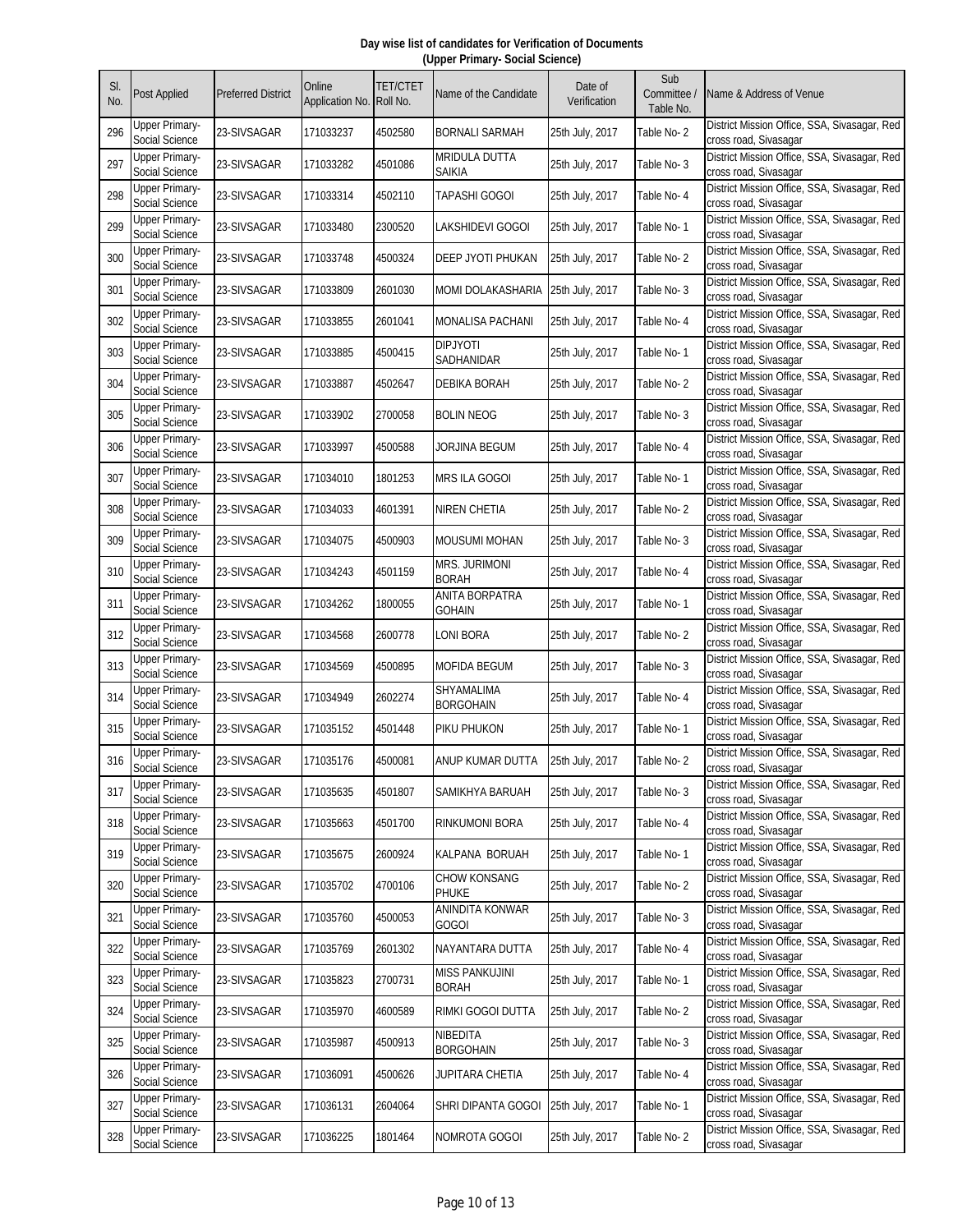| SI.<br>No. | <b>Post Applied</b>                     | <b>Preferred District</b> | Online<br>Application No. | <b>TET/CTET</b><br>Roll No. | Name of the Candidate                 | Date of<br>Verification | Sub<br>Committee /<br>Table No. | Name & Address of Venue                                               |
|------------|-----------------------------------------|---------------------------|---------------------------|-----------------------------|---------------------------------------|-------------------------|---------------------------------|-----------------------------------------------------------------------|
| 296        | Upper Primary-<br>Social Science        | 23-SIVSAGAR               | 171033237                 | 4502580                     | <b>BORNALI SARMAH</b>                 | 25th July, 2017         | Table No-2                      | District Mission Office, SSA, Sivasagar, Red<br>cross road, Sivasagar |
| 297        | <b>Upper Primary-</b><br>Social Science | 23-SIVSAGAR               | 171033282                 | 4501086                     | <b>MRIDULA DUTTA</b><br>Saikia        | 25th July, 2017         | Table No-3                      | District Mission Office, SSA, Sivasagar, Red<br>cross road, Sivasagar |
| 298        | <b>Upper Primary-</b><br>Social Science | 23-SIVSAGAR               | 171033314                 | 4502110                     | TAPASHI GOGOI                         | 25th July, 2017         | Table No- 4                     | District Mission Office, SSA, Sivasagar, Red<br>cross road, Sivasagar |
| 299        | <b>Upper Primary-</b><br>Social Science | 23-SIVSAGAR               | 171033480                 | 2300520                     | LAKSHIDEVI GOGOI                      | 25th July, 2017         | Table No-1                      | District Mission Office, SSA, Sivasagar, Red<br>cross road, Sivasagar |
| 300        | <b>Upper Primary-</b><br>Social Science | 23-SIVSAGAR               | 171033748                 | 4500324                     | DEEP JYOTI PHUKAN                     | 25th July, 2017         | Table No-2                      | District Mission Office, SSA, Sivasagar, Red<br>cross road, Sivasagar |
| 301        | <b>Upper Primary-</b><br>Social Science | 23-SIVSAGAR               | 171033809                 | 2601030                     | MOMI DOLAKASHARIA                     | 25th July, 2017         | Table No-3                      | District Mission Office, SSA, Sivasagar, Red<br>cross road, Sivasagar |
| 302        | <b>Upper Primary-</b><br>Social Science | 23-SIVSAGAR               | 171033855                 | 2601041                     | MONALISA PACHANI                      | 25th July, 2017         | Table No- 4                     | District Mission Office, SSA, Sivasagar, Red<br>cross road, Sivasagar |
| 303        | <b>Upper Primary-</b><br>Social Science | 23-SIVSAGAR               | 171033885                 | 4500415                     | <b>DIPJYOTI</b><br>SADHANIDAR         | 25th July, 2017         | Table No-1                      | District Mission Office, SSA, Sivasagar, Red<br>cross road, Sivasagar |
| 304        | <b>Upper Primary-</b><br>Social Science | 23-SIVSAGAR               | 171033887                 | 4502647                     | <b>DEBIKA BORAH</b>                   | 25th July, 2017         | Table No-2                      | District Mission Office, SSA, Sivasagar, Red<br>cross road, Sivasagar |
| 305        | <b>Upper Primary-</b><br>Social Science | 23-SIVSAGAR               | 171033902                 | 2700058                     | <b>BOLIN NEOG</b>                     | 25th July, 2017         | Table No-3                      | District Mission Office, SSA, Sivasagar, Red<br>cross road, Sivasagar |
| 306        | <b>Upper Primary-</b><br>Social Science | 23-SIVSAGAR               | 171033997                 | 4500588                     | JORJINA BEGUM                         | 25th July, 2017         | Table No- 4                     | District Mission Office, SSA, Sivasagar, Red<br>cross road, Sivasagar |
| 307        | <b>Upper Primary-</b><br>Social Science | 23-SIVSAGAR               | 171034010                 | 1801253                     | MRS ILA GOGOI                         | 25th July, 2017         | Table No-1                      | District Mission Office, SSA, Sivasagar, Red<br>cross road, Sivasagar |
| 308        | <b>Upper Primary-</b><br>Social Science | 23-SIVSAGAR               | 171034033                 | 4601391                     | NIREN CHETIA                          | 25th July, 2017         | Table No-2                      | District Mission Office, SSA, Sivasagar, Red<br>cross road, Sivasagar |
| 309        | <b>Upper Primary-</b><br>Social Science | 23-SIVSAGAR               | 171034075                 | 4500903                     | <b>MOUSUMI MOHAN</b>                  | 25th July, 2017         | Table No-3                      | District Mission Office, SSA, Sivasagar, Red<br>cross road, Sivasagar |
| 310        | <b>Upper Primary-</b><br>Social Science | 23-SIVSAGAR               | 171034243                 | 4501159                     | <b>MRS. JURIMONI</b><br><b>BORAH</b>  | 25th July, 2017         | Table No-4                      | District Mission Office, SSA, Sivasagar, Red<br>cross road, Sivasagar |
| 311        | <b>Upper Primary-</b><br>Social Science | 23-SIVSAGAR               | 171034262                 | 1800055                     | ANITA BORPATRA<br><b>GOHAIN</b>       | 25th July, 2017         | Table No-1                      | District Mission Office, SSA, Sivasagar, Red<br>cross road, Sivasagar |
| 312        | <b>Upper Primary-</b><br>Social Science | 23-SIVSAGAR               | 171034568                 | 2600778                     | <b>LONI BORA</b>                      | 25th July, 2017         | Table No-2                      | District Mission Office, SSA, Sivasagar, Red<br>cross road, Sivasagar |
| 313        | <b>Upper Primary-</b><br>Social Science | 23-SIVSAGAR               | 171034569                 | 4500895                     | <b>MOFIDA BEGUM</b>                   | 25th July, 2017         | Table No-3                      | District Mission Office, SSA, Sivasagar, Red<br>cross road, Sivasagar |
| 314        | <b>Upper Primary-</b><br>Social Science | 23-SIVSAGAR               | 171034949                 | 2602274                     | SHYAMALIMA<br><b>BORGOHAIN</b>        | 25th July, 2017         | Table No- 4                     | District Mission Office, SSA, Sivasagar, Red<br>cross road, Sivasagar |
| 315        | <b>Upper Primary-</b><br>Social Science | 23-SIVSAGAR               | 171035152                 | 4501448                     | PIKU PHUKON                           | 25th July, 2017         | Table No-1                      | District Mission Office, SSA, Sivasagar, Red<br>cross road, Sivasagar |
| 316        | Upper Primary-<br>Social Science        | 23-SIVSAGAR               | 171035176                 | 4500081                     | ANUP KUMAR DUTTA                      | 25th July, 2017         | Table No-2                      | District Mission Office, SSA, Sivasagar, Red<br>cross road, Sivasagar |
| 317        | <b>Upper Primary-</b><br>Social Science | 23-SIVSAGAR               | 171035635                 | 4501807                     | SAMIKHYA BARUAH                       | 25th July, 2017         | Table No-3                      | District Mission Office, SSA, Sivasagar, Red<br>cross road, Sivasagar |
| 318        | <b>Upper Primary-</b><br>Social Science | 23-SIVSAGAR               | 171035663                 | 4501700                     | RINKUMONI BORA                        | 25th July, 2017         | Table No- 4                     | District Mission Office, SSA, Sivasagar, Red<br>cross road, Sivasagar |
| 319        | <b>Upper Primary-</b><br>Social Science | 23-SIVSAGAR               | 171035675                 | 2600924                     | KALPANA BORUAH                        | 25th July, 2017         | Table No-1                      | District Mission Office, SSA, Sivasagar, Red<br>cross road, Sivasagar |
| 320        | <b>Upper Primary-</b><br>Social Science | 23-SIVSAGAR               | 171035702                 | 4700106                     | <b>CHOW KONSANG</b><br><b>PHUKE</b>   | 25th July, 2017         | Table No-2                      | District Mission Office, SSA, Sivasagar, Red<br>cross road, Sivasagar |
| 321        | <b>Upper Primary-</b><br>Social Science | 23-SIVSAGAR               | 171035760                 | 4500053                     | ANINDITA KONWAR<br><b>GOGOI</b>       | 25th July, 2017         | Table No-3                      | District Mission Office, SSA, Sivasagar, Red<br>cross road, Sivasagar |
| 322        | <b>Upper Primary-</b><br>Social Science | 23-SIVSAGAR               | 171035769                 | 2601302                     | NAYANTARA DUTTA                       | 25th July, 2017         | Table No-4                      | District Mission Office, SSA, Sivasagar, Red<br>cross road, Sivasagar |
| 323        | <b>Upper Primary-</b><br>Social Science | 23-SIVSAGAR               | 171035823                 | 2700731                     | <b>MISS PANKUJINI</b><br><b>BORAH</b> | 25th July, 2017         | Table No-1                      | District Mission Office, SSA, Sivasagar, Red<br>cross road, Sivasagar |
| 324        | <b>Upper Primary-</b><br>Social Science | 23-SIVSAGAR               | 171035970                 | 4600589                     | RIMKI GOGOI DUTTA                     | 25th July, 2017         | Table No-2                      | District Mission Office, SSA, Sivasagar, Red<br>cross road, Sivasagar |
| 325        | <b>Upper Primary-</b><br>Social Science | 23-SIVSAGAR               | 171035987                 | 4500913                     | NIBEDITA<br><b>BORGOHAIN</b>          | 25th July, 2017         | Table No-3                      | District Mission Office, SSA, Sivasagar, Red<br>cross road, Sivasagar |
| 326        | <b>Upper Primary-</b><br>Social Science | 23-SIVSAGAR               | 171036091                 | 4500626                     | JUPITARA CHETIA                       | 25th July, 2017         | Table No- 4                     | District Mission Office, SSA, Sivasagar, Red<br>cross road, Sivasagar |
| 327        | <b>Upper Primary-</b><br>Social Science | 23-SIVSAGAR               | 171036131                 | 2604064                     | SHRI DIPANTA GOGOI                    | 25th July, 2017         | Table No-1                      | District Mission Office, SSA, Sivasagar, Red<br>cross road, Sivasagar |
| 328        | <b>Upper Primary-</b><br>Social Science | 23-SIVSAGAR               | 171036225                 | 1801464                     | NOMROTA GOGOI                         | 25th July, 2017         | Table No-2                      | District Mission Office, SSA, Sivasagar, Red<br>cross road, Sivasagar |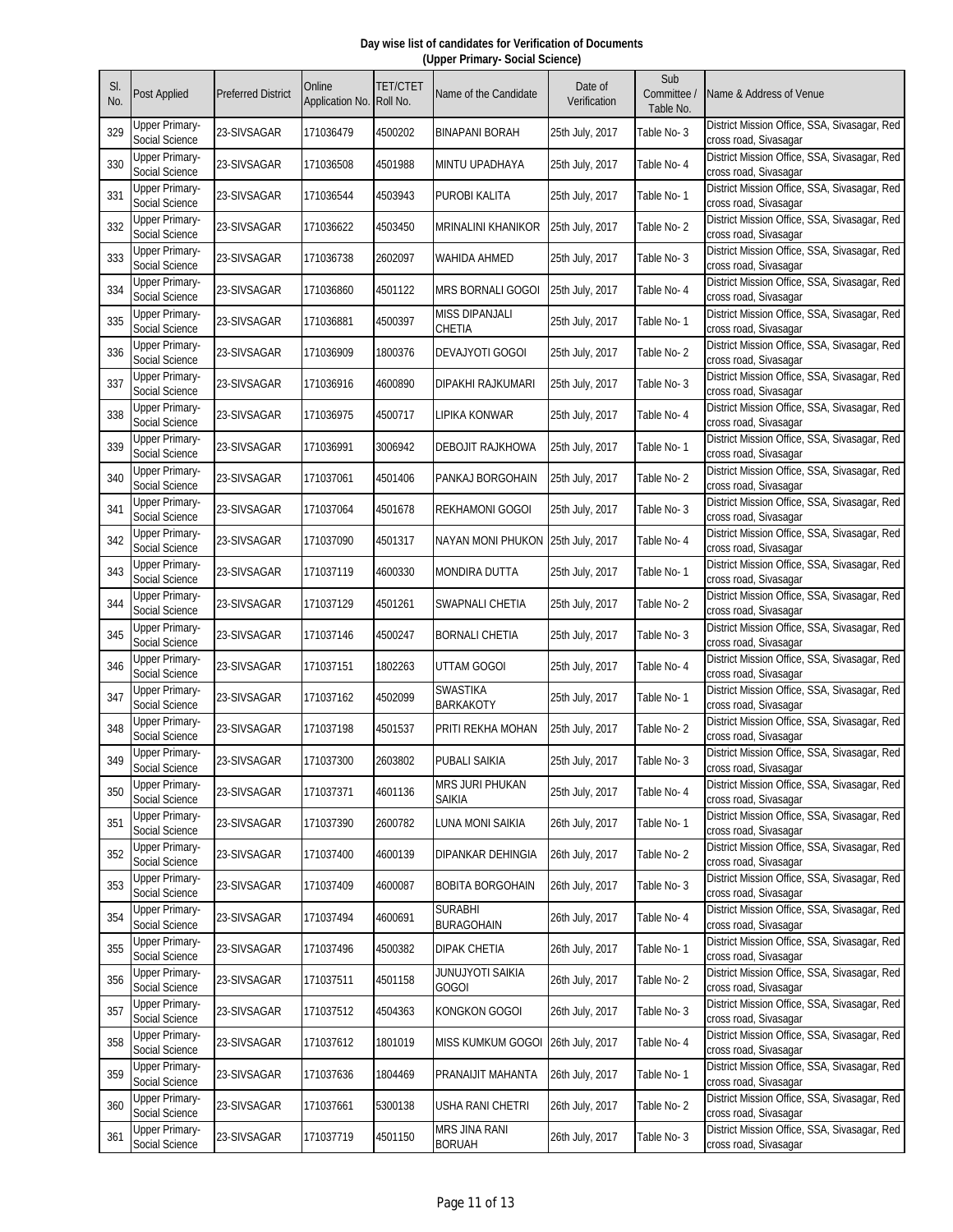| SI.<br>No. | <b>Post Applied</b>                     | <b>Preferred District</b> | Online<br>Application No. | <b>TET/CTET</b><br>Roll No. | Name of the Candidate               | Date of<br>Verification | Sub<br>Committee /<br>Table No. | Name & Address of Venue                                               |
|------------|-----------------------------------------|---------------------------|---------------------------|-----------------------------|-------------------------------------|-------------------------|---------------------------------|-----------------------------------------------------------------------|
| 329        | Upper Primary-<br>Social Science        | 23-SIVSAGAR               | 171036479                 | 4500202                     | <b>BINAPANI BORAH</b>               | 25th July, 2017         | Table No-3                      | District Mission Office, SSA, Sivasagar, Red<br>cross road, Sivasagar |
| 330        | <b>Upper Primary-</b><br>Social Science | 23-SIVSAGAR               | 171036508                 | 4501988                     | MINTU UPADHAYA                      | 25th July, 2017         | Table No- 4                     | District Mission Office, SSA, Sivasagar, Red<br>cross road, Sivasagar |
| 331        | <b>Upper Primary-</b><br>Social Science | 23-SIVSAGAR               | 171036544                 | 4503943                     | PUROBI KALITA                       | 25th July, 2017         | Table No-1                      | District Mission Office, SSA, Sivasagar, Red<br>cross road, Sivasagar |
| 332        | <b>Upper Primary-</b><br>Social Science | 23-SIVSAGAR               | 171036622                 | 4503450                     | <b>MRINALINI KHANIKOR</b>           | 25th July, 2017         | Table No-2                      | District Mission Office, SSA, Sivasagar, Red<br>cross road, Sivasagar |
| 333        | <b>Upper Primary-</b><br>Social Science | 23-SIVSAGAR               | 171036738                 | 2602097                     | WAHIDA AHMED                        | 25th July, 2017         | Table No-3                      | District Mission Office, SSA, Sivasagar, Red<br>cross road, Sivasagar |
| 334        | <b>Upper Primary-</b><br>Social Science | 23-SIVSAGAR               | 171036860                 | 4501122                     | MRS BORNALI GOGOI                   | 25th July, 2017         | Table No- 4                     | District Mission Office, SSA, Sivasagar, Red<br>cross road, Sivasagar |
| 335        | <b>Upper Primary-</b><br>Social Science | 23-SIVSAGAR               | 171036881                 | 4500397                     | <b>MISS DIPANJALI</b><br>CHETIA     | 25th July, 2017         | Table No- 1                     | District Mission Office, SSA, Sivasagar, Red<br>cross road, Sivasagar |
| 336        | <b>Upper Primary-</b><br>Social Science | 23-SIVSAGAR               | 171036909                 | 1800376                     | DEVAJYOTI GOGOI                     | 25th July, 2017         | Table No-2                      | District Mission Office, SSA, Sivasagar, Red<br>cross road, Sivasagar |
| 337        | <b>Upper Primary-</b><br>Social Science | 23-SIVSAGAR               | 171036916                 | 4600890                     | DIPAKHI RAJKUMARI                   | 25th July, 2017         | Table No-3                      | District Mission Office, SSA, Sivasagar, Red<br>cross road, Sivasagar |
| 338        | <b>Upper Primary-</b><br>Social Science | 23-SIVSAGAR               | 171036975                 | 4500717                     | LIPIKA KONWAR                       | 25th July, 2017         | Table No- 4                     | District Mission Office, SSA, Sivasagar, Red<br>cross road, Sivasagar |
| 339        | <b>Upper Primary-</b><br>Social Science | 23-SIVSAGAR               | 171036991                 | 3006942                     | <b>DEBOJIT RAJKHOWA</b>             | 25th July, 2017         | Table No-1                      | District Mission Office, SSA, Sivasagar, Red<br>cross road, Sivasagar |
| 340        | <b>Upper Primary-</b><br>Social Science | 23-SIVSAGAR               | 171037061                 | 4501406                     | PANKAJ BORGOHAIN                    | 25th July, 2017         | Table No-2                      | District Mission Office, SSA, Sivasagar, Red<br>cross road, Sivasagar |
| 341        | <b>Upper Primary-</b><br>Social Science | 23-SIVSAGAR               | 171037064                 | 4501678                     | REKHAMONI GOGOI                     | 25th July, 2017         | Table No-3                      | District Mission Office, SSA, Sivasagar, Red<br>cross road, Sivasagar |
| 342        | <b>Upper Primary-</b><br>Social Science | 23-SIVSAGAR               | 171037090                 | 4501317                     | NAYAN MONI PHUKON                   | 25th July, 2017         | Table No- 4                     | District Mission Office, SSA, Sivasagar, Red<br>cross road, Sivasagar |
| 343        | Upper Primary-<br>Social Science        | 23-SIVSAGAR               | 171037119                 | 4600330                     | MONDIRA DUTTA                       | 25th July, 2017         | Table No- 1                     | District Mission Office, SSA, Sivasagar, Red<br>cross road, Sivasagar |
| 344        | <b>Upper Primary-</b><br>Social Science | 23-SIVSAGAR               | 171037129                 | 4501261                     | SWAPNALI CHETIA                     | 25th July, 2017         | Table No-2                      | District Mission Office, SSA, Sivasagar, Red<br>cross road, Sivasagar |
| 345        | <b>Upper Primary-</b><br>Social Science | 23-SIVSAGAR               | 171037146                 | 4500247                     | <b>BORNALI CHETIA</b>               | 25th July, 2017         | Table No-3                      | District Mission Office, SSA, Sivasagar, Red<br>cross road, Sivasagar |
| 346        | <b>Upper Primary-</b><br>Social Science | 23-SIVSAGAR               | 171037151                 | 1802263                     | UTTAM GOGOI                         | 25th July, 2017         | Table No- 4                     | District Mission Office, SSA, Sivasagar, Red<br>cross road, Sivasagar |
| 347        | <b>Upper Primary-</b><br>Social Science | 23-SIVSAGAR               | 171037162                 | 4502099                     | <b>SWASTIKA</b><br><b>BARKAKOTY</b> | 25th July, 2017         | Table No-1                      | District Mission Office, SSA, Sivasagar, Red<br>cross road, Sivasagar |
| 348        | <b>Upper Primary-</b><br>Social Science | 23-SIVSAGAR               | 171037198                 | 4501537                     | PRITI REKHA MOHAN                   | 25th July, 2017         | Table No-2                      | District Mission Office, SSA, Sivasagar, Red<br>cross road, Sivasagar |
| 349        | <b>Upper Primary-</b><br>Social Science | 23-SIVSAGAR               | 171037300                 | 2603802                     | PUBALI SAIKIA                       | 25th July, 2017         | Table No-3                      | District Mission Office, SSA, Sivasagar, Red<br>cross road, Sivasagar |
| 350        | <b>Upper Primary-</b><br>Social Science | 23-SIVSAGAR               | 171037371                 | 4601136                     | MRS JURI PHUKAN<br>Saikia           | 25th July, 2017         | Table No- 4                     | District Mission Office, SSA, Sivasagar, Red<br>cross road, Sivasagar |
| 351        | <b>Upper Primary-</b><br>Social Science | 23-SIVSAGAR               | 171037390                 | 2600782                     | <b>LUNA MONI SAIKIA</b>             | 26th July, 2017         | Table No-1                      | District Mission Office, SSA, Sivasagar, Red<br>cross road, Sivasagar |
| 352        | <b>Upper Primary-</b><br>Social Science | 23-SIVSAGAR               | 171037400                 | 4600139                     | DIPANKAR DEHINGIA                   | 26th July, 2017         | Table No-2                      | District Mission Office, SSA, Sivasagar, Red<br>cross road, Sivasagar |
| 353        | <b>Upper Primary-</b><br>Social Science | 23-SIVSAGAR               | 171037409                 | 4600087                     | <b>BOBITA BORGOHAIN</b>             | 26th July, 2017         | Table No-3                      | District Mission Office, SSA, Sivasagar, Red<br>cross road, Sivasagar |
| 354        | <b>Upper Primary-</b><br>Social Science | 23-SIVSAGAR               | 171037494                 | 4600691                     | SURABHI<br><b>BURAGOHAIN</b>        | 26th July, 2017         | Table No-4                      | District Mission Office, SSA, Sivasagar, Red<br>cross road, Sivasagar |
| 355        | <b>Upper Primary-</b><br>Social Science | 23-SIVSAGAR               | 171037496                 | 4500382                     | DIPAK CHETIA                        | 26th July, 2017         | Table No-1                      | District Mission Office, SSA, Sivasagar, Red<br>cross road, Sivasagar |
| 356        | <b>Upper Primary-</b><br>Social Science | 23-SIVSAGAR               | 171037511                 | 4501158                     | JUNUJYOTI SAIKIA<br><b>GOGOI</b>    | 26th July, 2017         | Table No-2                      | District Mission Office, SSA, Sivasagar, Red<br>cross road, Sivasagar |
| 357        | <b>Upper Primary-</b><br>Social Science | 23-SIVSAGAR               | 171037512                 | 4504363                     | KONGKON GOGOI                       | 26th July, 2017         | Table No-3                      | District Mission Office, SSA, Sivasagar, Red<br>cross road, Sivasagar |
| 358        | <b>Upper Primary-</b><br>Social Science | 23-SIVSAGAR               | 171037612                 | 1801019                     | MISS KUMKUM GOGOI                   | 26th July, 2017         | Table No- 4                     | District Mission Office, SSA, Sivasagar, Red<br>cross road, Sivasagar |
| 359        | <b>Upper Primary-</b><br>Social Science | 23-SIVSAGAR               | 171037636                 | 1804469                     | PRANAIJIT MAHANTA                   | 26th July, 2017         | Table No-1                      | District Mission Office, SSA, Sivasagar, Red<br>cross road, Sivasagar |
| 360        | <b>Upper Primary-</b><br>Social Science | 23-SIVSAGAR               | 171037661                 | 5300138                     | USHA RANI CHETRI                    | 26th July, 2017         | Table No-2                      | District Mission Office, SSA, Sivasagar, Red<br>cross road, Sivasagar |
| 361        | <b>Upper Primary-</b><br>Social Science | 23-SIVSAGAR               | 171037719                 | 4501150                     | MRS JINA RANI<br><b>BORUAH</b>      | 26th July, 2017         | Table No-3                      | District Mission Office, SSA, Sivasagar, Red<br>cross road, Sivasagar |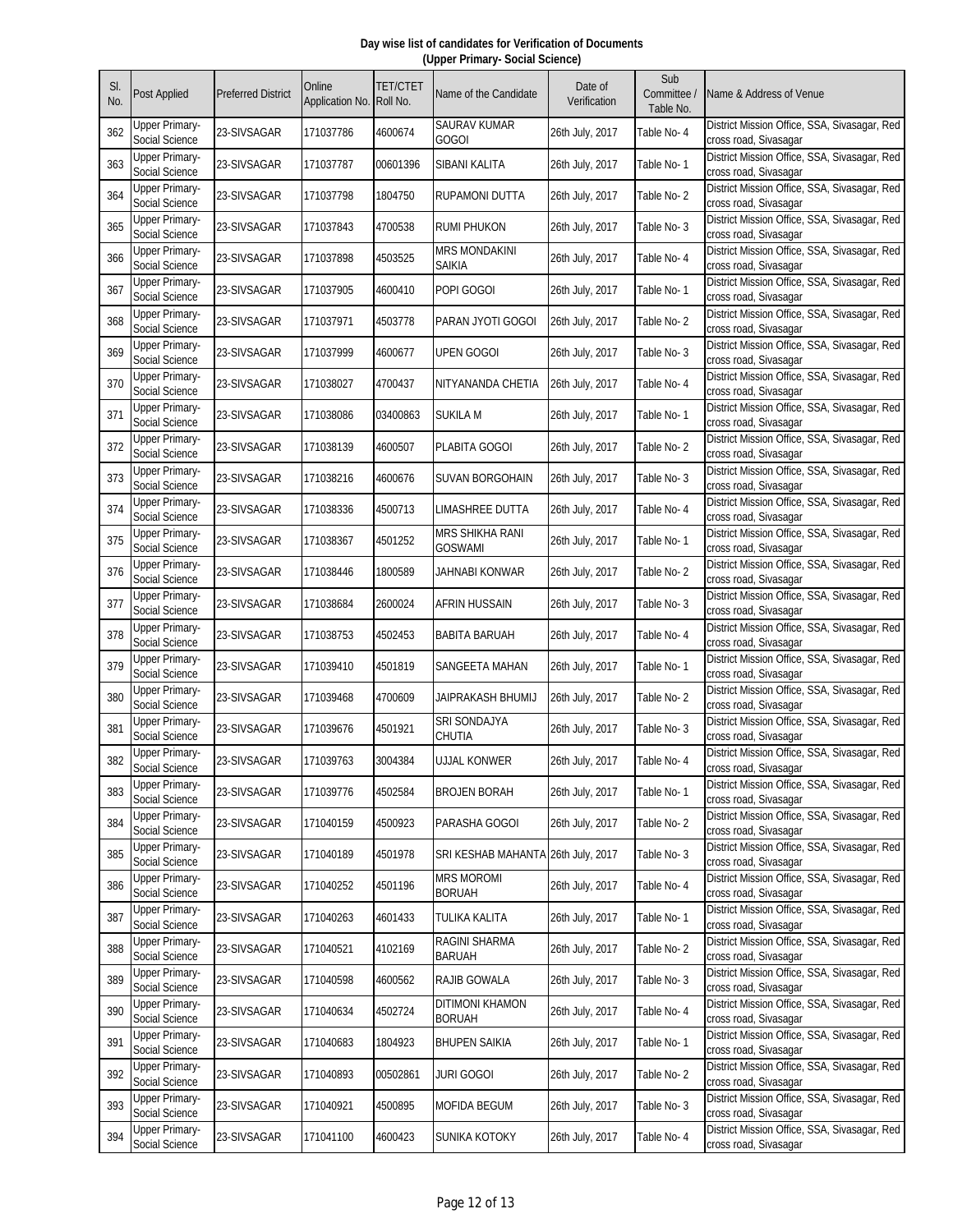| SI.<br>No. | <b>Post Applied</b>                     | <b>Preferred District</b> | Online<br>Application No. | <b>TET/CTET</b><br>Roll No. | Name of the Candidate                    | Date of<br>Verification | Sub<br>Committee /<br>Table No. | Name & Address of Venue                                               |
|------------|-----------------------------------------|---------------------------|---------------------------|-----------------------------|------------------------------------------|-------------------------|---------------------------------|-----------------------------------------------------------------------|
| 362        | Upper Primary-<br>Social Science        | 23-SIVSAGAR               | 171037786                 | 4600674                     | SAURAV KUMAR<br><b>GOGOI</b>             | 26th July, 2017         | Table No- 4                     | District Mission Office, SSA, Sivasagar, Red<br>cross road, Sivasagar |
| 363        | <b>Upper Primary-</b><br>Social Science | 23-SIVSAGAR               | 171037787                 | 00601396                    | SIBANI KALITA                            | 26th July, 2017         | Table No-1                      | District Mission Office, SSA, Sivasagar, Red<br>cross road, Sivasagar |
| 364        | <b>Upper Primary-</b><br>Social Science | 23-SIVSAGAR               | 171037798                 | 1804750                     | RUPAMONI DUTTA                           | 26th July, 2017         | Table No-2                      | District Mission Office, SSA, Sivasagar, Red<br>cross road, Sivasagar |
| 365        | <b>Upper Primary-</b><br>Social Science | 23-SIVSAGAR               | 171037843                 | 4700538                     | <b>RUMI PHUKON</b>                       | 26th July, 2017         | Table No-3                      | District Mission Office, SSA, Sivasagar, Red<br>cross road, Sivasagar |
| 366        | <b>Upper Primary-</b><br>Social Science | 23-SIVSAGAR               | 171037898                 | 4503525                     | <b>MRS MONDAKINI</b><br>Saikia           | 26th July, 2017         | Table No- 4                     | District Mission Office, SSA, Sivasagar, Red<br>cross road, Sivasagar |
| 367        | <b>Upper Primary-</b><br>Social Science | 23-SIVSAGAR               | 171037905                 | 4600410                     | POPI GOGOI                               | 26th July, 2017         | Table No-1                      | District Mission Office, SSA, Sivasagar, Red<br>cross road, Sivasagar |
| 368        | <b>Upper Primary-</b><br>Social Science | 23-SIVSAGAR               | 171037971                 | 4503778                     | PARAN JYOTI GOGOI                        | 26th July, 2017         | Table No-2                      | District Mission Office, SSA, Sivasagar, Red<br>cross road, Sivasagar |
| 369        | <b>Upper Primary-</b><br>Social Science | 23-SIVSAGAR               | 171037999                 | 4600677                     | <b>UPEN GOGOI</b>                        | 26th July, 2017         | Table No-3                      | District Mission Office, SSA, Sivasagar, Red<br>cross road, Sivasagar |
| 370        | <b>Upper Primary-</b><br>Social Science | 23-SIVSAGAR               | 171038027                 | 4700437                     | NITYANANDA CHETIA                        | 26th July, 2017         | Table No- 4                     | District Mission Office, SSA, Sivasagar, Red<br>cross road, Sivasagar |
| 371        | <b>Upper Primary-</b><br>Social Science | 23-SIVSAGAR               | 171038086                 | 03400863                    | SUKILA M                                 | 26th July, 2017         | Table No-1                      | District Mission Office, SSA, Sivasagar, Red<br>cross road, Sivasagar |
| 372        | <b>Upper Primary-</b><br>Social Science | 23-SIVSAGAR               | 171038139                 | 4600507                     | PLABITA GOGOI                            | 26th July, 2017         | Table No-2                      | District Mission Office, SSA, Sivasagar, Red<br>cross road, Sivasagar |
| 373        | Upper Primary-<br>Social Science        | 23-SIVSAGAR               | 171038216                 | 4600676                     | SUVAN BORGOHAIN                          | 26th July, 2017         | Table No-3                      | District Mission Office, SSA, Sivasagar, Red<br>cross road, Sivasagar |
| 374        | <b>Upper Primary-</b><br>Social Science | 23-SIVSAGAR               | 171038336                 | 4500713                     | LIMASHREE DUTTA                          | 26th July, 2017         | Table No-4                      | District Mission Office, SSA, Sivasagar, Red<br>cross road, Sivasagar |
| 375        | <b>Upper Primary-</b><br>Social Science | 23-SIVSAGAR               | 171038367                 | 4501252                     | <b>MRS SHIKHA RANI</b><br><b>GOSWAMI</b> | 26th July, 2017         | Table No-1                      | District Mission Office, SSA, Sivasagar, Red<br>cross road, Sivasagar |
| 376        | <b>Upper Primary-</b><br>Social Science | 23-SIVSAGAR               | 171038446                 | 1800589                     | JAHNABI KONWAR                           | 26th July, 2017         | Table No-2                      | District Mission Office, SSA, Sivasagar, Red<br>cross road, Sivasagar |
| 377        | <b>Upper Primary-</b><br>Social Science | 23-SIVSAGAR               | 171038684                 | 2600024                     | AFRIN HUSSAIN                            | 26th July, 2017         | Table No-3                      | District Mission Office, SSA, Sivasagar, Red<br>cross road, Sivasagar |
| 378        | <b>Upper Primary-</b><br>Social Science | 23-SIVSAGAR               | 171038753                 | 4502453                     | <b>BABITA BARUAH</b>                     | 26th July, 2017         | Table No- 4                     | District Mission Office, SSA, Sivasagar, Red<br>cross road, Sivasagar |
| 379        | <b>Upper Primary-</b><br>Social Science | 23-SIVSAGAR               | 171039410                 | 4501819                     | SANGEETA MAHAN                           | 26th July, 2017         | Table No- 1                     | District Mission Office, SSA, Sivasagar, Red<br>cross road, Sivasagar |
| 380        | <b>Upper Primary-</b><br>Social Science | 23-SIVSAGAR               | 171039468                 | 4700609                     | JAIPRAKASH BHUMIJ                        | 26th July, 2017         | Table No-2                      | District Mission Office, SSA, Sivasagar, Red<br>cross road, Sivasagar |
| 381        | <b>Upper Primary-</b><br>Social Science | 23-SIVSAGAR               | 171039676                 | 4501921                     | SRI SONDAJYA<br>CHUTIA                   | 26th July, 2017         | Table No-3                      | District Mission Office, SSA, Sivasagar, Red<br>cross road, Sivasagar |
| 382        | <b>Upper Primary-</b><br>Social Science | 23-SIVSAGAR               | 171039763                 | 3004384                     | <b>UJJAL KONWER</b>                      | 26th July, 2017         | Table No-4                      | District Mission Office, SSA, Sivasagar, Red<br>cross road, Sivasagar |
| 383        | <b>Upper Primary-</b><br>Social Science | 23-SIVSAGAR               | 171039776                 | 4502584                     | <b>BROJEN BORAH</b>                      | 26th July, 2017         | Table No-1                      | District Mission Office, SSA, Sivasagar, Red<br>cross road, Sivasagar |
| 384        | <b>Upper Primary-</b><br>Social Science | 23-SIVSAGAR               | 171040159                 | 4500923                     | PARASHA GOGOI                            | 26th July, 2017         | Table No-2                      | District Mission Office, SSA, Sivasagar, Red<br>cross road, Sivasagar |
| 385        | <b>Upper Primary-</b><br>Social Science | 23-SIVSAGAR               | 171040189                 | 4501978                     | SRI KESHAB MAHANTA 26th July, 2017       |                         | Table No-3                      | District Mission Office, SSA, Sivasagar, Red<br>cross road, Sivasagar |
| 386        | <b>Upper Primary-</b><br>Social Science | 23-SIVSAGAR               | 171040252                 | 4501196                     | <b>MRS MOROMI</b><br><b>BORUAH</b>       | 26th July, 2017         | Table No- 4                     | District Mission Office, SSA, Sivasagar, Red<br>cross road, Sivasagar |
| 387        | <b>Upper Primary-</b><br>Social Science | 23-SIVSAGAR               | 171040263                 | 4601433                     | TULIKA KALITA                            | 26th July, 2017         | Table No-1                      | District Mission Office, SSA, Sivasagar, Red<br>cross road, Sivasagar |
| 388        | <b>Upper Primary-</b><br>Social Science | 23-SIVSAGAR               | 171040521                 | 4102169                     | RAGINI SHARMA<br><b>BARUAH</b>           | 26th July, 2017         | Table No-2                      | District Mission Office, SSA, Sivasagar, Red<br>cross road, Sivasagar |
| 389        | <b>Upper Primary-</b><br>Social Science | 23-SIVSAGAR               | 171040598                 | 4600562                     | RAJIB GOWALA                             | 26th July, 2017         | Table No-3                      | District Mission Office, SSA, Sivasagar, Red<br>cross road, Sivasagar |
| 390        | <b>Upper Primary-</b><br>Social Science | 23-SIVSAGAR               | 171040634                 | 4502724                     | <b>DITIMONI KHAMON</b><br><b>BORUAH</b>  | 26th July, 2017         | Table No- 4                     | District Mission Office, SSA, Sivasagar, Red<br>cross road, Sivasagar |
| 391        | <b>Upper Primary-</b><br>Social Science | 23-SIVSAGAR               | 171040683                 | 1804923                     | <b>BHUPEN SAIKIA</b>                     | 26th July, 2017         | Table No-1                      | District Mission Office, SSA, Sivasagar, Red<br>cross road, Sivasagar |
| 392        | <b>Upper Primary-</b><br>Social Science | 23-SIVSAGAR               | 171040893                 | 00502861                    | <b>JURI GOGOI</b>                        | 26th July, 2017         | Table No-2                      | District Mission Office, SSA, Sivasagar, Red<br>cross road, Sivasagar |
| 393        | <b>Upper Primary-</b><br>Social Science | 23-SIVSAGAR               | 171040921                 | 4500895                     | MOFIDA BEGUM                             | 26th July, 2017         | Table No-3                      | District Mission Office, SSA, Sivasagar, Red<br>cross road, Sivasagar |
| 394        | <b>Upper Primary-</b><br>Social Science | 23-SIVSAGAR               | 171041100                 | 4600423                     | SUNIKA KOTOKY                            | 26th July, 2017         | Table No- 4                     | District Mission Office, SSA, Sivasagar, Red<br>cross road, Sivasagar |